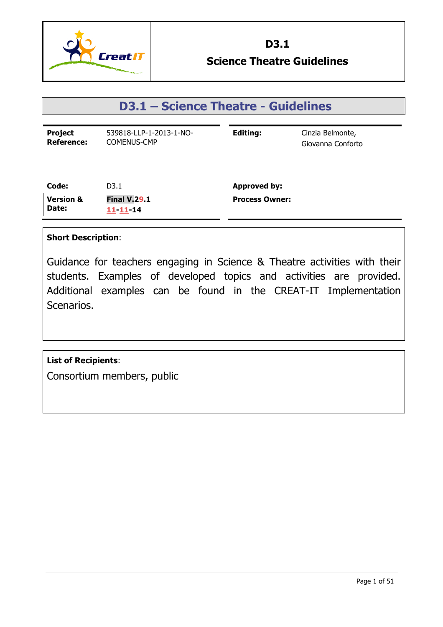

| <b>Project</b><br><b>Reference:</b> | 539818-LLP-1-2013-1-NO-<br>COMENUS-CMP | <b>Editing:</b>       | Cinzia Belmonte,<br>Giovanna Conforto |
|-------------------------------------|----------------------------------------|-----------------------|---------------------------------------|
| Code:                               | D3.1                                   | <b>Approved by:</b>   |                                       |
| <b>Version &amp;</b><br>Date:       | <b>Final V.29.1</b><br>$11 - 11 - 14$  | <b>Process Owner:</b> |                                       |

### **Short Description**:

Guidance for teachers engaging in Science & Theatre activities with their students. Examples of developed topics and activities are provided. Additional examples can be found in the CREAT-IT Implementation Scenarios.

## **List of Recipients**:

Consortium members, public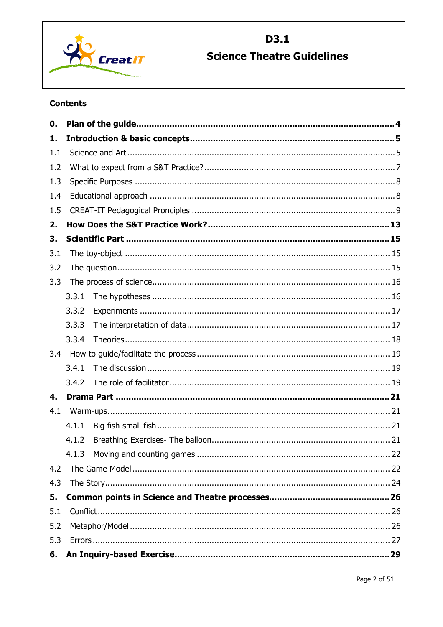

# **Science Theatre Guidelines**

#### **Contents**

| 0.  |       |  |  |
|-----|-------|--|--|
| 1.  |       |  |  |
| 1.1 |       |  |  |
| 1.2 |       |  |  |
| 1.3 |       |  |  |
| 1.4 |       |  |  |
| 1.5 |       |  |  |
| 2.  |       |  |  |
| 3.  |       |  |  |
| 3.1 |       |  |  |
| 3.2 |       |  |  |
| 3.3 |       |  |  |
|     | 3.3.1 |  |  |
|     | 3.3.2 |  |  |
|     | 3.3.3 |  |  |
|     | 3.3.4 |  |  |
| 3.4 |       |  |  |
|     | 3.4.1 |  |  |
|     | 3.4.2 |  |  |
| 4.  |       |  |  |
| 4.1 |       |  |  |
|     | 4.1.1 |  |  |
|     | 4.1.2 |  |  |
|     |       |  |  |
| 4.2 |       |  |  |
| 4.3 |       |  |  |
| 5.  |       |  |  |
| 5.1 |       |  |  |
| 5.2 |       |  |  |
| 5.3 |       |  |  |
| 6.  |       |  |  |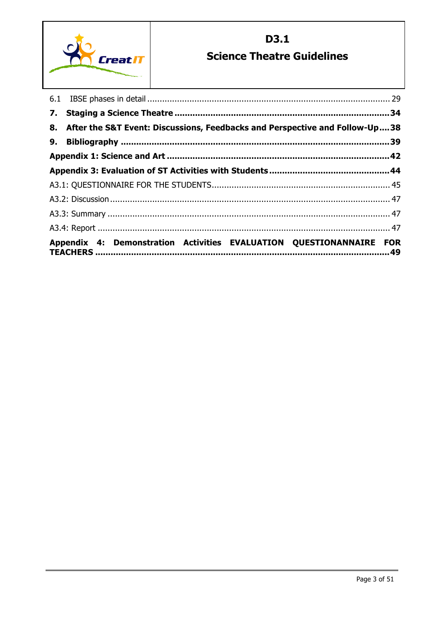

# **Science Theatre Guidelines**

| 8. After the S&T Event: Discussions, Feedbacks and Perspective and Follow-Up38 |  |
|--------------------------------------------------------------------------------|--|
|                                                                                |  |
|                                                                                |  |
|                                                                                |  |
|                                                                                |  |
|                                                                                |  |
|                                                                                |  |
|                                                                                |  |
| Appendix 4: Demonstration Activities EVALUATION QUESTIONANNAIRE FOR            |  |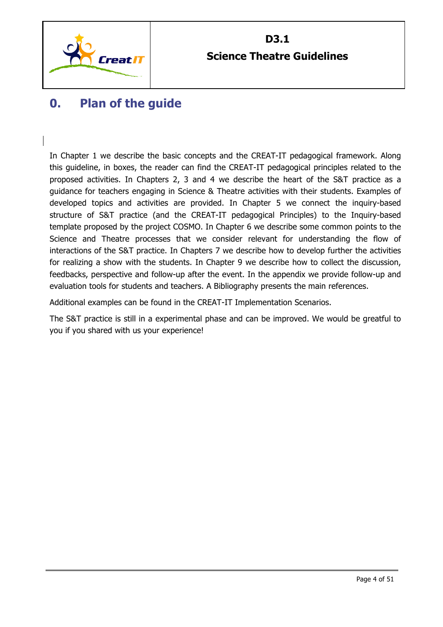

# **0. Plan of the guide**

In Chapter 1 we describe the basic concepts and the CREAT-IT pedagogical framework. Along this guideline, in boxes, the reader can find the CREAT-IT pedagogical principles related to the proposed activities. In Chapters 2, 3 and 4 we describe the heart of the S&T practice as a guidance for teachers engaging in Science & Theatre activities with their students. Examples of developed topics and activities are provided. In Chapter 5 we connect the inquiry-based structure of S&T practice (and the CREAT-IT pedagogical Principles) to the Inquiry-based template proposed by the project COSMO. In Chapter 6 we describe some common points to the Science and Theatre processes that we consider relevant for understanding the flow of interactions of the S&T practice. In Chapters 7 we describe how to develop further the activities for realizing a show with the students. In Chapter 9 we describe how to collect the discussion, feedbacks, perspective and follow-up after the event. In the appendix we provide follow-up and evaluation tools for students and teachers. A Bibliography presents the main references.

Additional examples can be found in the CREAT-IT Implementation Scenarios.

The S&T practice is still in a experimental phase and can be improved. We would be greatful to you if you shared with us your experience!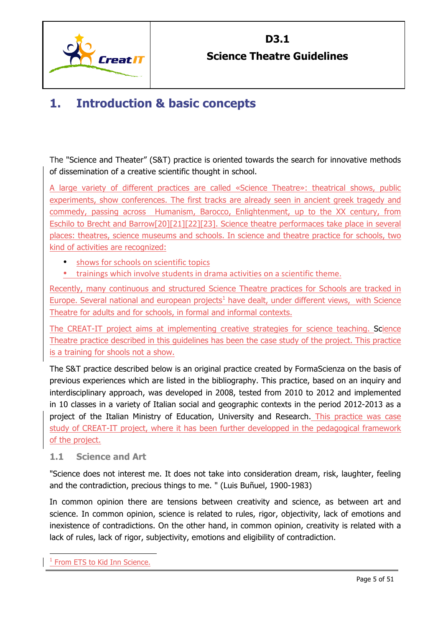

# **1. Introduction & basic concepts**

The "Science and Theater" (S&T) practice is oriented towards the search for innovative methods of dissemination of a creative scientific thought in school.

A large variety of different practices are called «Science Theatre»: theatrical shows, public experiments, show conferences. The first tracks are already seen in ancient greek tragedy and commedy, passing across Humanism, Barocco, Enlightenment, up to the XX century, from Eschilo to Brecht and Barrow[20][21][22][23]. Science theatre performaces take place in several places: theatres, science museums and schools. In science and theatre practice for schools, two kind of activities are recognized:

- shows for schools on scientific topics
- trainings which involve students in drama activities on a scientific theme.

Recently, many continuous and structured Science Theatre practices for Schools are tracked in Europe. Several national and european projects<sup>1</sup> have dealt, under different views, with Science Theatre for adults and for schools, in formal and informal contexts.

The CREAT-IT project aims at implementing creative strategies for science teaching. Science Theatre practice described in this guidelines has been the case study of the project. This practice is a training for shools not a show.

The S&T practice described below is an original practice created by FormaScienza on the basis of previous experiences which are listed in the bibliography. This practice, based on an inquiry and interdisciplinary approach, was developed in 2008, tested from 2010 to 2012 and implemented in 10 classes in a variety of Italian social and geographic contexts in the period 2012-2013 as a project of the Italian Ministry of Education, University and Research. This practice was case study of CREAT-IT project, where it has been further developped in the pedagogical framework of the project.

### **1.1 Science and Art**

"Science does not interest me. It does not take into consideration dream, risk, laughter, feeling and the contradiction, precious things to me. " (Luis Buñuel, 1900-1983)

In common opinion there are tensions between creativity and science, as between art and science. In common opinion, science is related to rules, rigor, objectivity, lack of emotions and inexistence of contradictions. On the other hand, in common opinion, creativity is related with a lack of rules, lack of rigor, subjectivity, emotions and eligibility of contradiction.

<sup>1</sup> From ETS to Kid Inn Science.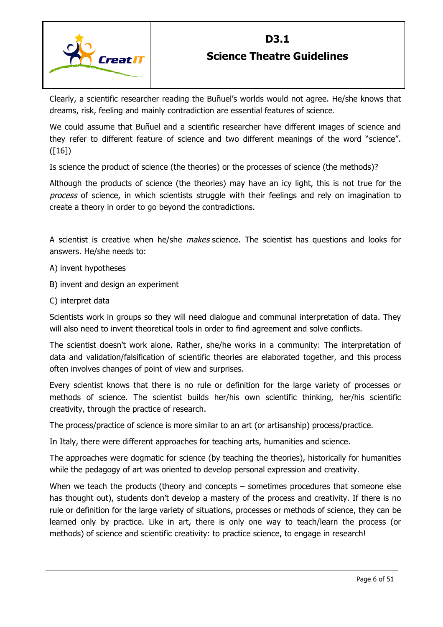

## **Science Theatre Guidelines**

Clearly, a scientific researcher reading the Buñuel's worlds would not agree. He/she knows that dreams, risk, feeling and mainly contradiction are essential features of science.

We could assume that Buñuel and a scientific researcher have different images of science and they refer to different feature of science and two different meanings of the word "science".  $([16])$ 

Is science the product of science (the theories) or the processes of science (the methods)?

Although the products of science (the theories) may have an icy light, this is not true for the process of science, in which scientists struggle with their feelings and rely on imagination to create a theory in order to go beyond the contradictions.

A scientist is creative when he/she makes science. The scientist has questions and looks for answers. He/she needs to:

- A) invent hypotheses
- B) invent and design an experiment
- C) interpret data

Scientists work in groups so they will need dialogue and communal interpretation of data. They will also need to invent theoretical tools in order to find agreement and solve conflicts.

The scientist doesn't work alone. Rather, she/he works in a community: The interpretation of data and validation/falsification of scientific theories are elaborated together, and this process often involves changes of point of view and surprises.

Every scientist knows that there is no rule or definition for the large variety of processes or methods of science. The scientist builds her/his own scientific thinking, her/his scientific creativity, through the practice of research.

The process/practice of science is more similar to an art (or artisanship) process/practice.

In Italy, there were different approaches for teaching arts, humanities and science.

The approaches were dogmatic for science (by teaching the theories), historically for humanities while the pedagogy of art was oriented to develop personal expression and creativity.

When we teach the products (theory and concepts – sometimes procedures that someone else has thought out), students don't develop a mastery of the process and creativity. If there is no rule or definition for the large variety of situations, processes or methods of science, they can be learned only by practice. Like in art, there is only one way to teach/learn the process (or methods) of science and scientific creativity: to practice science, to engage in research!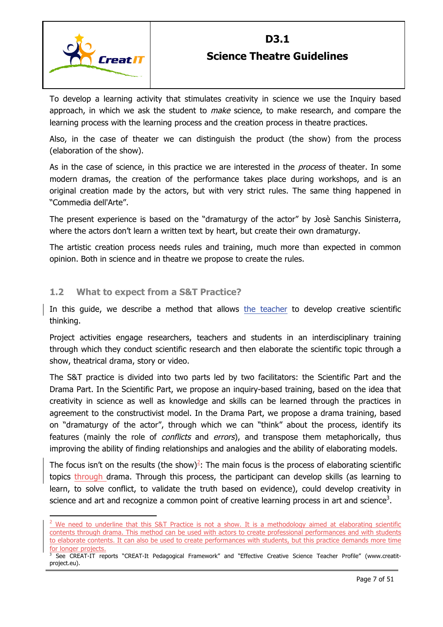

### **Science Theatre Guidelines**

To develop a learning activity that stimulates creativity in science we use the Inquiry based approach, in which we ask the student to *make* science, to make research, and compare the learning process with the learning process and the creation process in theatre practices.

Also, in the case of theater we can distinguish the product (the show) from the process (elaboration of the show).

As in the case of science, in this practice we are interested in the *process* of theater. In some modern dramas, the creation of the performance takes place during workshops, and is an original creation made by the actors, but with very strict rules. The same thing happened in "Commedia dell'Arte".

The present experience is based on the "dramaturgy of the actor" by Josè Sanchis Sinisterra, where the actors don't learn a written text by heart, but create their own dramaturgy.

The artistic creation process needs rules and training, much more than expected in common opinion. Both in science and in theatre we propose to create the rules.

### **1.2 What to expect from a S&T Practice?**

In this guide, we describe a method that allows the teacher to develop creative scientific thinking.

Project activities engage researchers, teachers and students in an interdisciplinary training through which they conduct scientific research and then elaborate the scientific topic through a show, theatrical drama, story or video.

The S&T practice is divided into two parts led by two facilitators: the Scientific Part and the Drama Part. In the Scientific Part, we propose an inquiry-based training, based on the idea that creativity in science as well as knowledge and skills can be learned through the practices in agreement to the constructivist model. In the Drama Part, we propose a drama training, based on "dramaturgy of the actor", through which we can "think" about the process, identify its features (mainly the role of *conflicts* and *errors*), and transpose them metaphorically, thus improving the ability of finding relationships and analogies and the ability of elaborating models.

The focus isn't on the results (the show)<sup>2</sup>: The main focus is the process of elaborating scientific topics through drama. Through this process, the participant can develop skills (as learning to learn, to solve conflict, to validate the truth based on evidence), could develop creativity in science and art and recognize a common point of creative learning process in art and science<sup>3</sup>.

<sup>&</sup>lt;sup>2</sup> We need to underline that this S&T Practice is not a show. It is a methodology aimed at elaborating scientific contents through drama. This method can be used with actors to create professional performances and with students to elaborate contents. It can also be used to create performances with students, but this practice demands more time for longer projects.

<sup>3</sup> See CREAT-IT reports "CREAT-It Pedagogical Framework" and "Effective Creative Science Teacher Profile" (www.creatitproject.eu).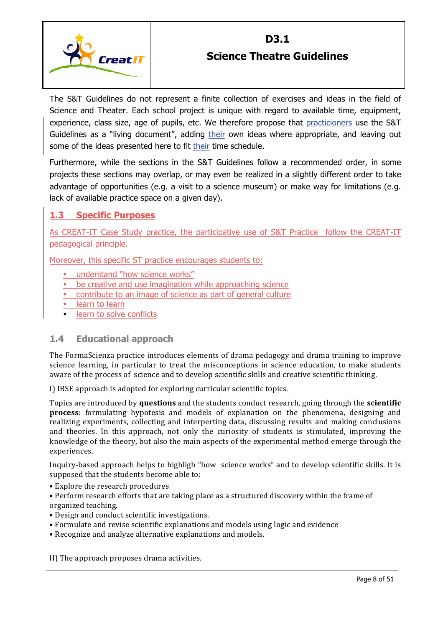

## **Science Theatre Guidelines**

The S&T Guidelines do not represent a finite collection of exercises and ideas in the field of Science and Theater. Each school project is unique with regard to available time, equipment, experience, class size, age of pupils, etc. We therefore propose that practicioners use the S&T Guidelines as a "living document", adding their own ideas where appropriate, and leaving out some of the ideas presented here to fit their time schedule.

Furthermore, while the sections in the S&T Guidelines follow a recommended order, in some projects these sections may overlap, or may even be realized in a slightly different order to take advantage of opportunities (e.g. a visit to a science museum) or make way for limitations (e.g. lack of available practice space on a given day).

### **1.3 Specific Purposes**

As CREAT-IT Case Study practice, the participative use of S&T Practice follow the CREAT-IT pedagogical principle.

Moreover, this specific ST practice encourages students to:

- understand "how science works"
- be creative and use imagination while approaching science
- contribute to an image of science as part of general culture
- learn to learn
- learn to solve conflicts

### **1.4 Educational approach**

The FormaScienza practice introduces elements of drama pedagogy and drama training to improve science learning, in particular to treat the misconceptions in science education, to make students aware of the process of science and to develop scientific skills and creative scientific thinking.

I) IBSE approach is adopted for exploring curricular scientific topics.

Topics are introduced by **questions** and the students conduct research, going through the **scientific process**: formulating hypotesis and models of explanation on the phenomena, designing and realizing experiments, collecting and interperting data, discussing results and making conclusions and theories. In this approach, not only the curiosity of students is stimulated, improving the knowledge of the theory, but also the main aspects of the experimental method emerge through the experiences.

Inquiry-based approach helps to highligh "how science works" and to develop scientific skills. It is supposed that the students become able to:

- Explore the research procedures
- Perform research efforts that are taking place as a structured discovery within the frame of organized teaching.
- Design and conduct scientific investigations.
- Formulate and revise scientific explanations and models using logic and evidence
- Recognize and analyze alternative explanations and models.

II) The approach proposes drama activities.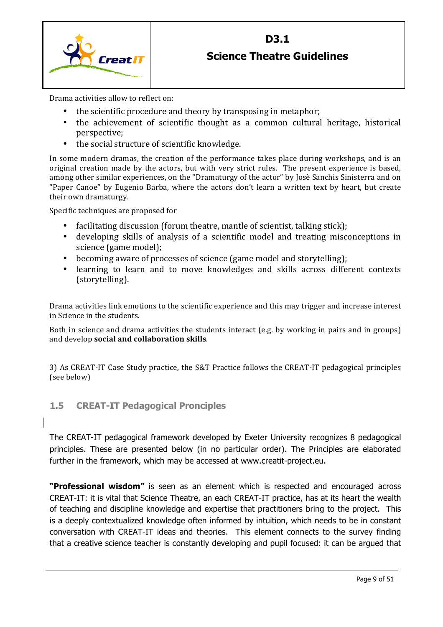

## **Science Theatre Guidelines**

Drama activities allow to reflect on:

- the scientific procedure and theory by transposing in metaphor;
- the achievement of scientific thought as a common cultural heritage, historical perspective;
- the social structure of scientific knowledge.

In some modern dramas, the creation of the performance takes place during workshops, and is an original creation made by the actors, but with very strict rules. The present experience is based, among other similar experiences, on the "Dramaturgy of the actor" by Josè Sanchis Sinisterra and on "Paper Canoe" by Eugenio Barba, where the actors don't learn a written text by heart, but create their own dramaturgy.

Specific techniques are proposed for

- facilitating discussion (forum theatre, mantle of scientist, talking stick);
- developing skills of analysis of a scientific model and treating misconceptions in science (game model);
- becoming aware of processes of science (game model and storytelling);
- learning to learn and to move knowledges and skills across different contexts (storytelling).

Drama activities link emotions to the scientific experience and this may trigger and increase interest in Science in the students.

Both in science and drama activities the students interact (e.g. by working in pairs and in groups) and develop **social and collaboration skills**. 

3) As CREAT-IT Case Study practice, the S&T Practice follows the CREAT-IT pedagogical principles (see below)

### **1.5 CREAT-IT Pedagogical Pronciples**

The CREAT-IT pedagogical framework developed by Exeter University recognizes 8 pedagogical principles. These are presented below (in no particular order). The Principles are elaborated further in the framework, which may be accessed at www.creatit-project.eu.

**"Professional wisdom"** is seen as an element which is respected and encouraged across CREAT-IT: it is vital that Science Theatre, an each CREAT-IT practice, has at its heart the wealth of teaching and discipline knowledge and expertise that practitioners bring to the project. This is a deeply contextualized knowledge often informed by intuition, which needs to be in constant conversation with CREAT-IT ideas and theories. This element connects to the survey finding that a creative science teacher is constantly developing and pupil focused: it can be argued that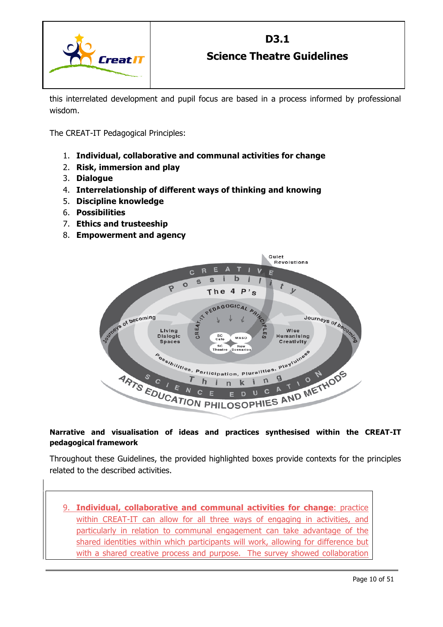

this interrelated development and pupil focus are based in a process informed by professional wisdom.

The CREAT-IT Pedagogical Principles:

- 1. **Individual, collaborative and communal activities for change**
- 2. **Risk, immersion and play**
- 3. **Dialogue**
- 4. **Interrelationship of different ways of thinking and knowing**
- 5. **Discipline knowledge**
- 6. **Possibilities**
- 7. **Ethics and trusteeship**
- 8. **Empowerment and agency**



#### **Narrative and visualisation of ideas and practices synthesised within the CREAT-IT pedagogical framework**

Throughout these Guidelines, the provided highlighted boxes provide contexts for the principles related to the described activities.

9. **Individual, collaborative and communal activities for change**: practice within CREAT-IT can allow for all three ways of engaging in activities, and particularly in relation to communal engagement can take advantage of the shared identities within which participants will work, allowing for difference but with a shared creative process and purpose. The survey showed collaboration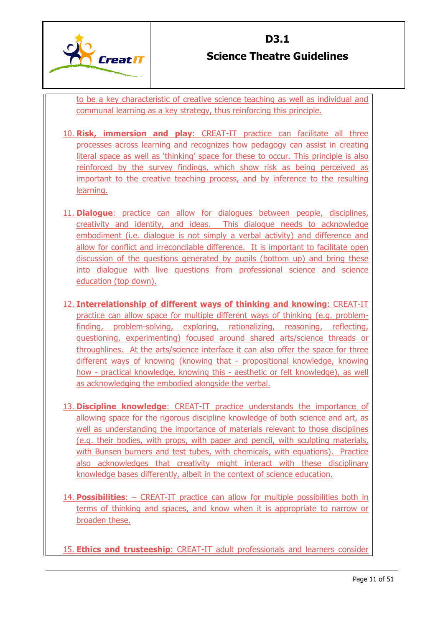

### **Science Theatre Guidelines**

to be a key characteristic of creative science teaching as well as individual and communal learning as a key strategy, thus reinforcing this principle.

- 10. **Risk, immersion and play**: CREAT-IT practice can facilitate all three processes across learning and recognizes how pedagogy can assist in creating literal space as well as 'thinking' space for these to occur. This principle is also reinforced by the survey findings, which show risk as being perceived as important to the creative teaching process, and by inference to the resulting learning.
- 11. **Dialogue**: practice can allow for dialogues between people, disciplines, creativity and identity, and ideas. This dialogue needs to acknowledge embodiment (i.e. dialogue is not simply a verbal activity) and difference and allow for conflict and irreconcilable difference. It is important to facilitate open discussion of the questions generated by pupils (bottom up) and bring these into dialogue with live questions from professional science and science education (top down).
- 12. **Interrelationship of different ways of thinking and knowing**: CREAT-IT practice can allow space for multiple different ways of thinking (e.g. problemfinding, problem-solving, exploring, rationalizing, reasoning, reflecting, questioning, experimenting) focused around shared arts/science threads or throughlines. At the arts/science interface it can also offer the space for three different ways of knowing (knowing that - propositional knowledge, knowing how - practical knowledge, knowing this - aesthetic or felt knowledge), as well as acknowledging the embodied alongside the verbal.
- 13. **Discipline knowledge**: CREAT-IT practice understands the importance of allowing space for the rigorous discipline knowledge of both science and art, as well as understanding the importance of materials relevant to those disciplines (e.g. their bodies, with props, with paper and pencil, with sculpting materials, with Bunsen burners and test tubes, with chemicals, with equations). Practice also acknowledges that creativity might interact with these disciplinary knowledge bases differently, albeit in the context of science education.
- 14. **Possibilities**: CREAT-IT practice can allow for multiple possibilities both in terms of thinking and spaces, and know when it is appropriate to narrow or broaden these.
- 15. **Ethics and trusteeship**: CREAT-IT adult professionals and learners consider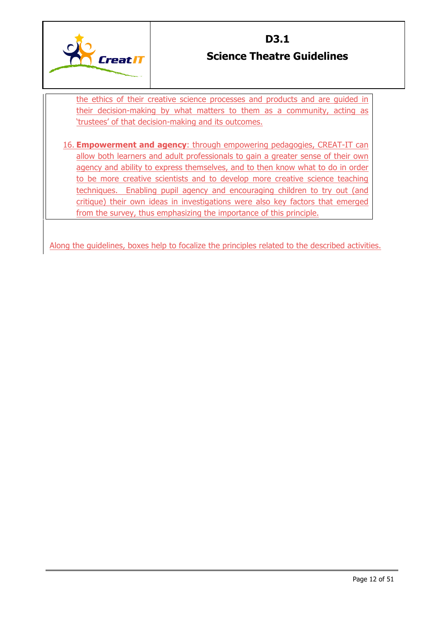

### **Science Theatre Guidelines**

the ethics of their creative science processes and products and are guided in their decision-making by what matters to them as a community, acting as 'trustees' of that decision-making and its outcomes.

16. **Empowerment and agency**: through empowering pedagogies, CREAT-IT can allow both learners and adult professionals to gain a greater sense of their own agency and ability to express themselves, and to then know what to do in order to be more creative scientists and to develop more creative science teaching techniques. Enabling pupil agency and encouraging children to try out (and critique) their own ideas in investigations were also key factors that emerged from the survey, thus emphasizing the importance of this principle.

Along the guidelines, boxes help to focalize the principles related to the described activities.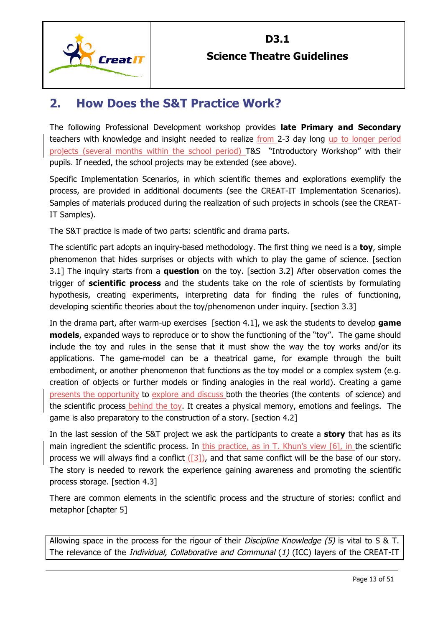

**Science Theatre Guidelines**

# **2. How Does the S&T Practice Work?**

The following Professional Development workshop provides **late Primary and Secondary**  teachers with knowledge and insight needed to realize from 2-3 day long up to longer period projects (several months within the school period) T&S "Introductory Workshop" with their pupils. If needed, the school projects may be extended (see above).

Specific Implementation Scenarios, in which scientific themes and explorations exemplify the process, are provided in additional documents (see the CREAT-IT Implementation Scenarios). Samples of materials produced during the realization of such projects in schools (see the CREAT-IT Samples).

The S&T practice is made of two parts: scientific and drama parts.

The scientific part adopts an inquiry-based methodology. The first thing we need is a **toy**, simple phenomenon that hides surprises or objects with which to play the game of science. [section 3.1] The inquiry starts from a **question** on the toy. [section 3.2] After observation comes the trigger of **scientific process** and the students take on the role of scientists by formulating hypothesis, creating experiments, interpreting data for finding the rules of functioning, developing scientific theories about the toy/phenomenon under inquiry. [section 3.3]

In the drama part, after warm-up exercises [section 4.1], we ask the students to develop **game models**, expanded ways to reproduce or to show the functioning of the "toy". The game should include the toy and rules in the sense that it must show the way the toy works and/or its applications. The game-model can be a theatrical game, for example through the built embodiment, or another phenomenon that functions as the toy model or a complex system (e.g. creation of objects or further models or finding analogies in the real world). Creating a game presents the opportunity to explore and discuss both the theories (the contents of science) and the scientific process behind the toy. It creates a physical memory, emotions and feelings. The game is also preparatory to the construction of a story. [section 4.2]

In the last session of the S&T project we ask the participants to create a **story** that has as its main ingredient the scientific process. In this practice, as in T. Khun's view [6], in the scientific process we will always find a conflict  $([3])$ , and that same conflict will be the base of our story. The story is needed to rework the experience gaining awareness and promoting the scientific process storage. [section 4.3]

There are common elements in the scientific process and the structure of stories: conflict and metaphor [chapter 5]

Allowing space in the process for the rigour of their *Discipline Knowledge (5)* is vital to S & T. The relevance of the Individual, Collaborative and Communal (1) (ICC) layers of the CREAT-IT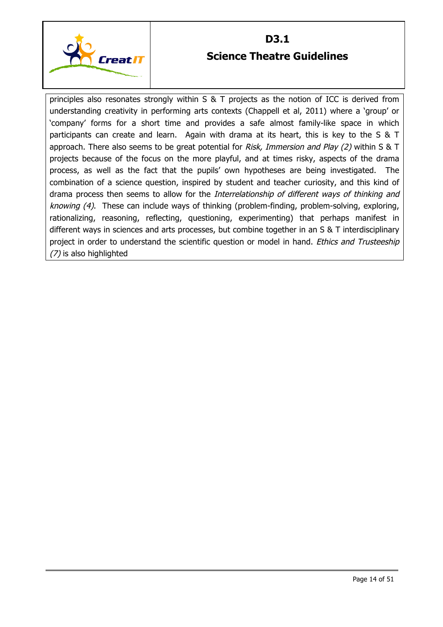

principles also resonates strongly within S & T projects as the notion of ICC is derived from understanding creativity in performing arts contexts (Chappell et al, 2011) where a 'group' or 'company' forms for a short time and provides a safe almost family-like space in which participants can create and learn. Again with drama at its heart, this is key to the S & T approach. There also seems to be great potential for Risk, Immersion and Play (2) within S  $&$  T projects because of the focus on the more playful, and at times risky, aspects of the drama process, as well as the fact that the pupils' own hypotheses are being investigated. The combination of a science question, inspired by student and teacher curiosity, and this kind of drama process then seems to allow for the Interrelationship of different ways of thinking and knowing (4). These can include ways of thinking (problem-finding, problem-solving, exploring, rationalizing, reasoning, reflecting, questioning, experimenting) that perhaps manifest in different ways in sciences and arts processes, but combine together in an S & T interdisciplinary project in order to understand the scientific question or model in hand. Ethics and Trusteeship (7) is also highlighted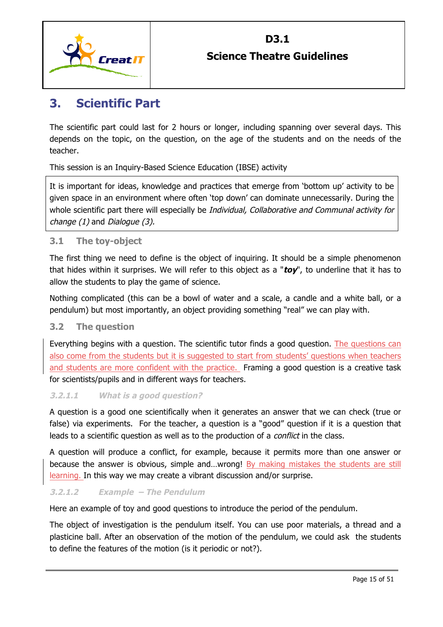

### **Science Theatre Guidelines**

# **3. Scientific Part**

The scientific part could last for 2 hours or longer, including spanning over several days. This depends on the topic, on the question, on the age of the students and on the needs of the teacher.

This session is an Inquiry-Based Science Education (IBSE) activity

It is important for ideas, knowledge and practices that emerge from 'bottom up' activity to be given space in an environment where often 'top down' can dominate unnecessarily. During the whole scientific part there will especially be Individual, Collaborative and Communal activity for change (1) and Dialogue (3).

### **3.1 The toy-object**

The first thing we need to define is the object of inquiring. It should be a simple phenomenon that hides within it surprises. We will refer to this object as a "**toy**", to underline that it has to allow the students to play the game of science.

Nothing complicated (this can be a bowl of water and a scale, a candle and a white ball, or a pendulum) but most importantly, an object providing something "real" we can play with.

### **3.2 The question**

Everything begins with a question. The scientific tutor finds a good question. The questions can also come from the students but it is suggested to start from students' questions when teachers and students are more confident with the practice. Framing a good question is a creative task for scientists/pupils and in different ways for teachers.

### **3.2.1.1 What is a good question?**

A question is a good one scientifically when it generates an answer that we can check (true or false) via experiments. For the teacher, a question is a "good" question if it is a question that leads to a scientific question as well as to the production of a *conflict* in the class.

A question will produce a conflict, for example, because it permits more than one answer or because the answer is obvious, simple and...wrong! By making mistakes the students are still learning. In this way we may create a vibrant discussion and/or surprise.

### **3.2.1.2 Example – The Pendulum**

Here an example of toy and good questions to introduce the period of the pendulum.

The object of investigation is the pendulum itself. You can use poor materials, a thread and a plasticine ball. After an observation of the motion of the pendulum, we could ask the students to define the features of the motion (is it periodic or not?).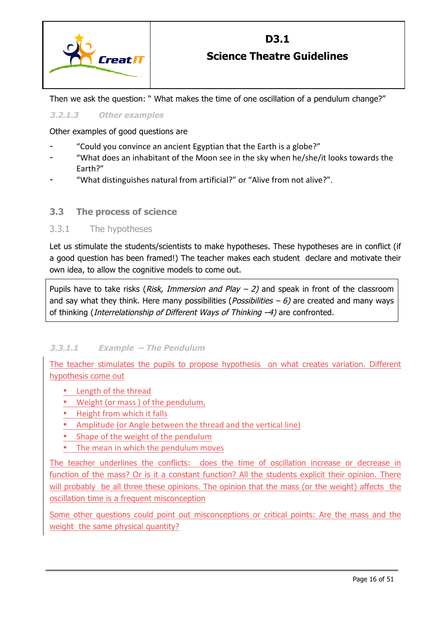

Then we ask the question: " What makes the time of one oscillation of a pendulum change?"

**3.2.1.3 Other examples** 

Other examples of good questions are

- "Could you convince an ancient Egyptian that the Earth is a globe?"
- "What does an inhabitant of the Moon see in the sky when he/she/it looks towards the Earth?"
- "What distinguishes natural from artificial?" or "Alive from not alive?".

### **3.3 The process of science**

#### 3.3.1 The hypotheses

Let us stimulate the students/scientists to make hypotheses. These hypotheses are in conflict (if a good question has been framed!) The teacher makes each student declare and motivate their own idea, to allow the cognitive models to come out.

Pupils have to take risks (Risk, Immersion and Play  $-$  2) and speak in front of the classroom and say what they think. Here many possibilities (*Possibilities*  $-6$ *)* are created and many ways of thinking (*Interrelationship of Different Ways of Thinking -4*) are confronted.

#### **3.3.1.1 Example – The Pendulum**

The teacher stimulates the pupils to propose hypothesis on what creates variation. Different hypothesis come out

- Length of the thread
- Weight (or mass) of the pendulum,
- Height from which it falls
- Amplitude (or Angle between the thread and the vertical line)
- Shape of the weight of the pendulum
- The mean in which the pendulum moves

The teacher underlines the conflicts: does the time of oscillation increase or decrease in function of the mass? Or is it a constant function? All the students explicit their opinion. There will probably be all three these opinions. The opinion that the mass (or the weight) affects the oscillation time is a frequent misconception

Some other questions could point out misconceptions or critical points: Are the mass and the weight the same physical quantity?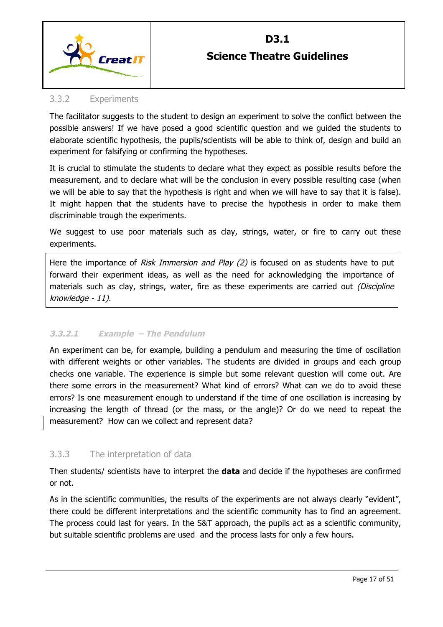

### **Science Theatre Guidelines**

#### 3.3.2 Experiments

The facilitator suggests to the student to design an experiment to solve the conflict between the possible answers! If we have posed a good scientific question and we guided the students to elaborate scientific hypothesis, the pupils/scientists will be able to think of, design and build an experiment for falsifying or confirming the hypotheses.

It is crucial to stimulate the students to declare what they expect as possible results before the measurement, and to declare what will be the conclusion in every possible resulting case (when we will be able to say that the hypothesis is right and when we will have to say that it is false). It might happen that the students have to precise the hypothesis in order to make them discriminable trough the experiments.

We suggest to use poor materials such as clay, strings, water, or fire to carry out these experiments.

Here the importance of Risk Immersion and Play  $(2)$  is focused on as students have to put forward their experiment ideas, as well as the need for acknowledging the importance of materials such as clay, strings, water, fire as these experiments are carried out (Discipline knowledge - 11).

### **3.3.2.1 Example – The Pendulum**

An experiment can be, for example, building a pendulum and measuring the time of oscillation with different weights or other variables. The students are divided in groups and each group checks one variable. The experience is simple but some relevant question will come out. Are there some errors in the measurement? What kind of errors? What can we do to avoid these errors? Is one measurement enough to understand if the time of one oscillation is increasing by increasing the length of thread (or the mass, or the angle)? Or do we need to repeat the measurement? How can we collect and represent data?

### 3.3.3 The interpretation of data

Then students/ scientists have to interpret the **data** and decide if the hypotheses are confirmed or not.

As in the scientific communities, the results of the experiments are not always clearly "evident", there could be different interpretations and the scientific community has to find an agreement. The process could last for years. In the S&T approach, the pupils act as a scientific community, but suitable scientific problems are used and the process lasts for only a few hours.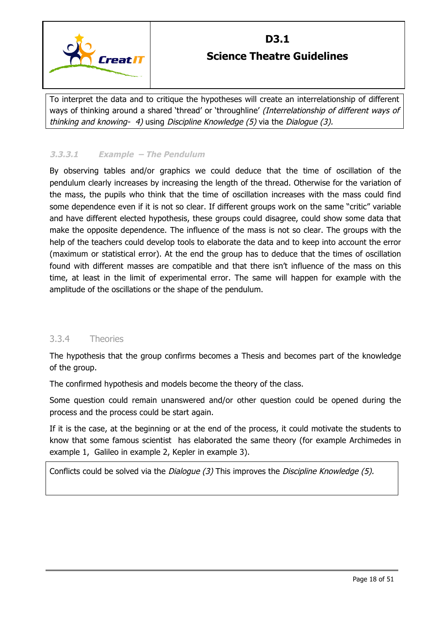

## **Science Theatre Guidelines**

To interpret the data and to critique the hypotheses will create an interrelationship of different ways of thinking around a shared 'thread' or 'throughline' (Interrelationship of different ways of thinking and knowing- 4) using Discipline Knowledge (5) via the Dialogue (3).

### **3.3.3.1 Example – The Pendulum**

By observing tables and/or graphics we could deduce that the time of oscillation of the pendulum clearly increases by increasing the length of the thread. Otherwise for the variation of the mass, the pupils who think that the time of oscillation increases with the mass could find some dependence even if it is not so clear. If different groups work on the same "critic" variable and have different elected hypothesis, these groups could disagree, could show some data that make the opposite dependence. The influence of the mass is not so clear. The groups with the help of the teachers could develop tools to elaborate the data and to keep into account the error (maximum or statistical error). At the end the group has to deduce that the times of oscillation found with different masses are compatible and that there isn't influence of the mass on this time, at least in the limit of experimental error. The same will happen for example with the amplitude of the oscillations or the shape of the pendulum.

### 3.3.4 Theories

The hypothesis that the group confirms becomes a Thesis and becomes part of the knowledge of the group.

The confirmed hypothesis and models become the theory of the class.

Some question could remain unanswered and/or other question could be opened during the process and the process could be start again.

If it is the case, at the beginning or at the end of the process, it could motivate the students to know that some famous scientist has elaborated the same theory (for example Archimedes in example 1, Galileo in example 2, Kepler in example 3).

Conflicts could be solved via the Dialogue (3) This improves the Discipline Knowledge (5).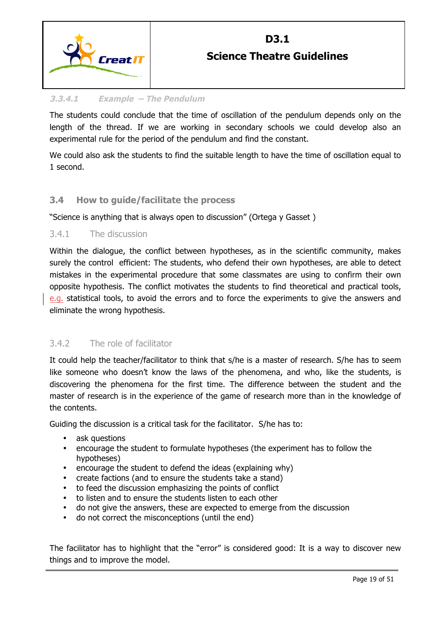

#### **3.3.4.1 Example – The Pendulum**

The students could conclude that the time of oscillation of the pendulum depends only on the length of the thread. If we are working in secondary schools we could develop also an experimental rule for the period of the pendulum and find the constant.

We could also ask the students to find the suitable length to have the time of oscillation equal to 1 second.

### **3.4 How to guide/facilitate the process**

"Science is anything that is always open to discussion" (Ortega y Gasset )

#### 3.4.1 The discussion

Within the dialogue, the conflict between hypotheses, as in the scientific community, makes surely the control efficient: The students, who defend their own hypotheses, are able to detect mistakes in the experimental procedure that some classmates are using to confirm their own opposite hypothesis. The conflict motivates the students to find theoretical and practical tools, e.g. statistical tools, to avoid the errors and to force the experiments to give the answers and eliminate the wrong hypothesis.

### 3.4.2 The role of facilitator

It could help the teacher/facilitator to think that s/he is a master of research. S/he has to seem like someone who doesn't know the laws of the phenomena, and who, like the students, is discovering the phenomena for the first time. The difference between the student and the master of research is in the experience of the game of research more than in the knowledge of the contents.

Guiding the discussion is a critical task for the facilitator. S/he has to:

- ask questions
- encourage the student to formulate hypotheses (the experiment has to follow the hypotheses)
- encourage the student to defend the ideas (explaining why)
- create factions (and to ensure the students take a stand)
- to feed the discussion emphasizing the points of conflict
- to listen and to ensure the students listen to each other
- do not give the answers, these are expected to emerge from the discussion
- do not correct the misconceptions (until the end)

The facilitator has to highlight that the "error" is considered good: It is a way to discover new things and to improve the model.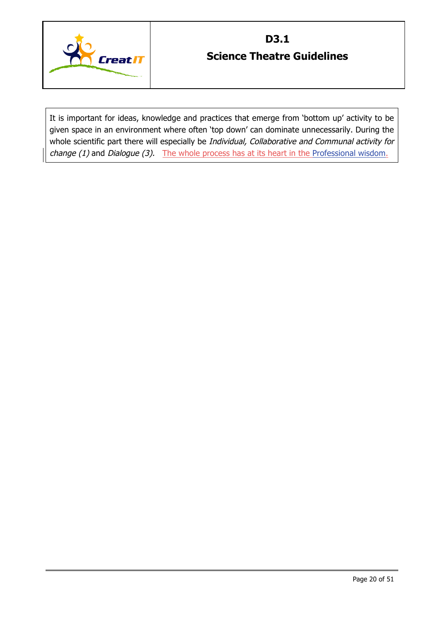

## **Science Theatre Guidelines**

It is important for ideas, knowledge and practices that emerge from 'bottom up' activity to be given space in an environment where often 'top down' can dominate unnecessarily. During the whole scientific part there will especially be Individual, Collaborative and Communal activity for change (1) and Dialogue (3). The whole process has at its heart in the Professional wisdom.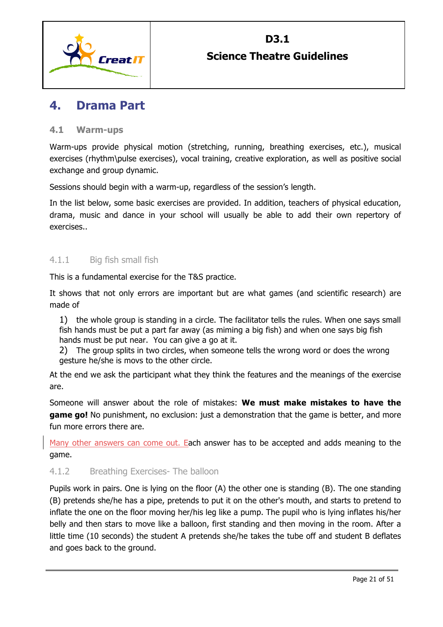

## **Science Theatre Guidelines**

# **4. Drama Part**

#### **4.1 Warm-ups**

Warm-ups provide physical motion (stretching, running, breathing exercises, etc.), musical exercises (rhythm\pulse exercises), vocal training, creative exploration, as well as positive social exchange and group dynamic.

Sessions should begin with a warm-up, regardless of the session's length.

In the list below, some basic exercises are provided. In addition, teachers of physical education, drama, music and dance in your school will usually be able to add their own repertory of exercises..

### 4.1.1 Big fish small fish

This is a fundamental exercise for the T&S practice.

It shows that not only errors are important but are what games (and scientific research) are made of

1) the whole group is standing in a circle. The facilitator tells the rules. When one says small fish hands must be put a part far away (as miming a big fish) and when one says big fish hands must be put near. You can give a go at it.

2) The group splits in two circles, when someone tells the wrong word or does the wrong gesture he/she is movs to the other circle.

At the end we ask the participant what they think the features and the meanings of the exercise are.

Someone will answer about the role of mistakes: **We must make mistakes to have the game go!** No punishment, no exclusion: just a demonstration that the game is better, and more fun more errors there are.

Many other answers can come out. Each answer has to be accepted and adds meaning to the game.

### 4.1.2 Breathing Exercises- The balloon

Pupils work in pairs. One is lying on the floor (A) the other one is standing (B). The one standing (B) pretends she/he has a pipe, pretends to put it on the other's mouth, and starts to pretend to inflate the one on the floor moving her/his leg like a pump. The pupil who is lying inflates his/her belly and then stars to move like a balloon, first standing and then moving in the room. After a little time (10 seconds) the student A pretends she/he takes the tube off and student B deflates and goes back to the ground.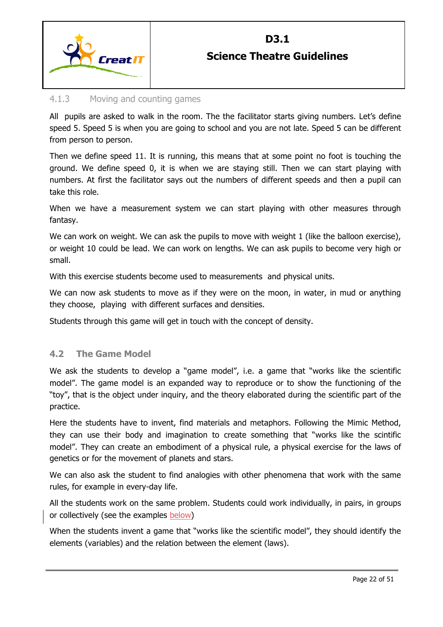

## **Science Theatre Guidelines**

### 4.1.3 Moving and counting games

All pupils are asked to walk in the room. The the facilitator starts giving numbers. Let's define speed 5. Speed 5 is when you are going to school and you are not late. Speed 5 can be different from person to person.

Then we define speed 11. It is running, this means that at some point no foot is touching the ground. We define speed 0, it is when we are staying still. Then we can start playing with numbers. At first the facilitator says out the numbers of different speeds and then a pupil can take this role.

When we have a measurement system we can start playing with other measures through fantasy.

We can work on weight. We can ask the pupils to move with weight 1 (like the balloon exercise), or weight 10 could be lead. We can work on lengths. We can ask pupils to become very high or small.

With this exercise students become used to measurements and physical units.

We can now ask students to move as if they were on the moon, in water, in mud or anything they choose, playing with different surfaces and densities.

Students through this game will get in touch with the concept of density.

### **4.2 The Game Model**

We ask the students to develop a "game model", i.e. a game that "works like the scientific model". The game model is an expanded way to reproduce or to show the functioning of the "toy", that is the object under inquiry, and the theory elaborated during the scientific part of the practice.

Here the students have to invent, find materials and metaphors. Following the Mimic Method, they can use their body and imagination to create something that "works like the scintific model". They can create an embodiment of a physical rule, a physical exercise for the laws of genetics or for the movement of planets and stars.

We can also ask the student to find analogies with other phenomena that work with the same rules, for example in every-day life.

All the students work on the same problem. Students could work individually, in pairs, in groups or collectively (see the examples below)

When the students invent a game that "works like the scientific model", they should identify the elements (variables) and the relation between the element (laws).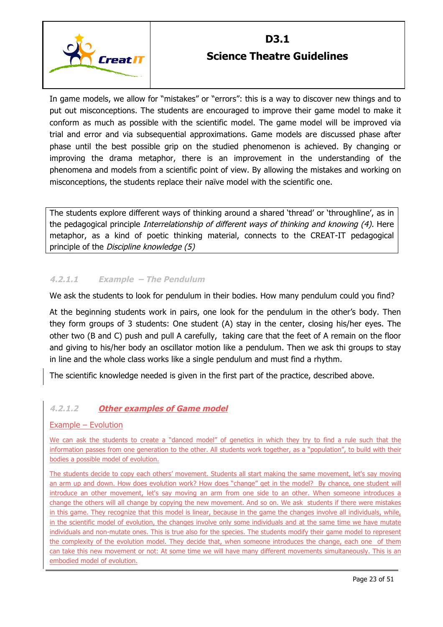

In game models, we allow for "mistakes" or "errors": this is a way to discover new things and to put out misconceptions. The students are encouraged to improve their game model to make it conform as much as possible with the scientific model. The game model will be improved via trial and error and via subsequential approximations. Game models are discussed phase after phase until the best possible grip on the studied phenomenon is achieved. By changing or improving the drama metaphor, there is an improvement in the understanding of the phenomena and models from a scientific point of view. By allowing the mistakes and working on misconceptions, the students replace their naïve model with the scientific one.

The students explore different ways of thinking around a shared 'thread' or 'throughline', as in the pedagogical principle Interrelationship of different ways of thinking and knowing (4). Here metaphor, as a kind of poetic thinking material, connects to the CREAT-IT pedagogical principle of the Discipline knowledge (5)

#### **4.2.1.1 Example – The Pendulum**

We ask the students to look for pendulum in their bodies. How many pendulum could you find?

At the beginning students work in pairs, one look for the pendulum in the other's body. Then they form groups of 3 students: One student (A) stay in the center, closing his/her eyes. The other two (B and C) push and pull A carefully, taking care that the feet of A remain on the floor and giving to his/her body an oscillator motion like a pendulum. Then we ask thi groups to stay in line and the whole class works like a single pendulum and must find a rhythm.

The scientific knowledge needed is given in the first part of the practice, described above.

### **4.2.1.2 Other examples of Game model**

#### Example – Evolution

We can ask the students to create a "danced model" of genetics in which they try to find a rule such that the information passes from one generation to the other. All students work together, as a "population", to build with their bodies a possible model of evolution.

The students decide to copy each others' movement. Students all start making the same movement, let's say moving an arm up and down. How does evolution work? How does "change" get in the model? By chance, one student will introduce an other movement, let's say moving an arm from one side to an other. When someone introduces a change the others will all change by copying the new movement. And so on. We ask students if there were mistakes in this game. They recognize that this model is linear, because in the game the changes involve all individuals, while, in the scientific model of evolution, the changes involve only some individuals and at the same time we have mutate individuals and non-mutate ones. This is true also for the species. The students modify their game model to represent the complexity of the evolution model. They decide that, when someone introduces the change, each one of them can take this new movement or not: At some time we will have many different movements simultaneously. This is an embodied model of evolution.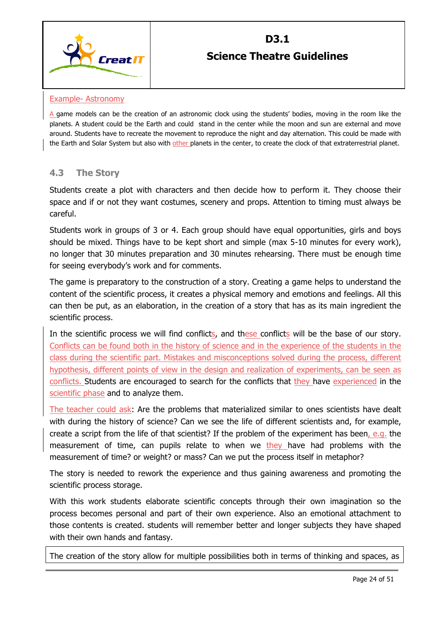

### **Science Theatre Guidelines**

#### Example- Astronomy

A game models can be the creation of an astronomic clock using the students' bodies, moving in the room like the planets. A student could be the Earth and could stand in the center while the moon and sun are external and move around. Students have to recreate the movement to reproduce the night and day alternation. This could be made with the Earth and Solar System but also with other planets in the center, to create the clock of that extraterrestrial planet.

#### **4.3 The Story**

Students create a plot with characters and then decide how to perform it. They choose their space and if or not they want costumes, scenery and props. Attention to timing must always be careful.

Students work in groups of 3 or 4. Each group should have equal opportunities, girls and boys should be mixed. Things have to be kept short and simple (max 5-10 minutes for every work), no longer that 30 minutes preparation and 30 minutes rehearsing. There must be enough time for seeing everybody's work and for comments.

The game is preparatory to the construction of a story. Creating a game helps to understand the content of the scientific process, it creates a physical memory and emotions and feelings. All this can then be put, as an elaboration, in the creation of a story that has as its main ingredient the scientific process.

In the scientific process we will find conflicts, and these conflicts will be the base of our story. Conflicts can be found both in the history of science and in the experience of the students in the class during the scientific part. Mistakes and misconceptions solved during the process, different hypothesis, different points of view in the design and realization of experiments, can be seen as conflicts. Students are encouraged to search for the conflicts that they have experienced in the scientific phase and to analyze them.

The teacher could ask: Are the problems that materialized similar to ones scientists have dealt with during the history of science? Can we see the life of different scientists and, for example, create a script from the life of that scientist? If the problem of the experiment has been, e.g. the measurement of time, can pupils relate to when we they have had problems with the measurement of time? or weight? or mass? Can we put the process itself in metaphor?

The story is needed to rework the experience and thus gaining awareness and promoting the scientific process storage.

With this work students elaborate scientific concepts through their own imagination so the process becomes personal and part of their own experience. Also an emotional attachment to those contents is created. students will remember better and longer subjects they have shaped with their own hands and fantasy.

The creation of the story allow for multiple possibilities both in terms of thinking and spaces, as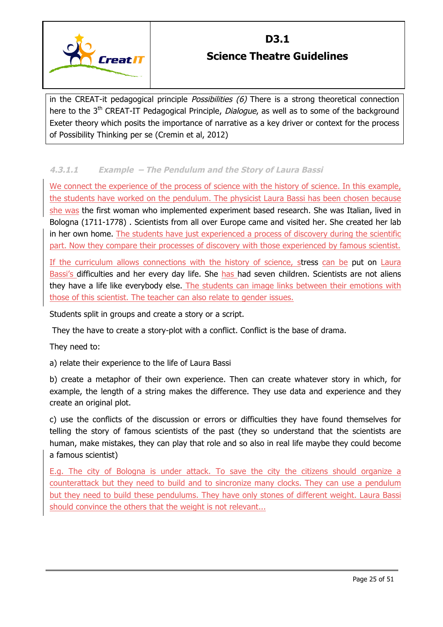

### **Science Theatre Guidelines**

in the CREAT-it pedagogical principle *Possibilities (6)* There is a strong theoretical connection here to the 3<sup>th</sup> CREAT-IT Pedagogical Principle, Dialogue, as well as to some of the background Exeter theory which posits the importance of narrative as a key driver or context for the process of Possibility Thinking per se (Cremin et al, 2012)

### **4.3.1.1 Example – The Pendulum and the Story of Laura Bassi**

We connect the experience of the process of science with the history of science. In this example, the students have worked on the pendulum. The physicist Laura Bassi has been chosen because she was the first woman who implemented experiment based research. She was Italian, lived in Bologna (1711-1778) . Scientists from all over Europe came and visited her. She created her lab in her own home. The students have just experienced a process of discovery during the scientific part. Now they compare their processes of discovery with those experienced by famous scientist.

If the curriculum allows connections with the history of science, stress can be put on Laura Bassi's difficulties and her every day life. She has had seven children. Scientists are not aliens they have a life like everybody else. The students can image links between their emotions with those of this scientist. The teacher can also relate to gender issues.

Students split in groups and create a story or a script.

They the have to create a story-plot with a conflict. Conflict is the base of drama.

They need to:

a) relate their experience to the life of Laura Bassi

b) create a metaphor of their own experience. Then can create whatever story in which, for example, the length of a string makes the difference. They use data and experience and they create an original plot.

c) use the conflicts of the discussion or errors or difficulties they have found themselves for telling the story of famous scientists of the past (they so understand that the scientists are human, make mistakes, they can play that role and so also in real life maybe they could become a famous scientist)

E.g. The city of Bologna is under attack. To save the city the citizens should organize a counterattack but they need to build and to sincronize many clocks. They can use a pendulum but they need to build these pendulums. They have only stones of different weight. Laura Bassi should convince the others that the weight is not relevant...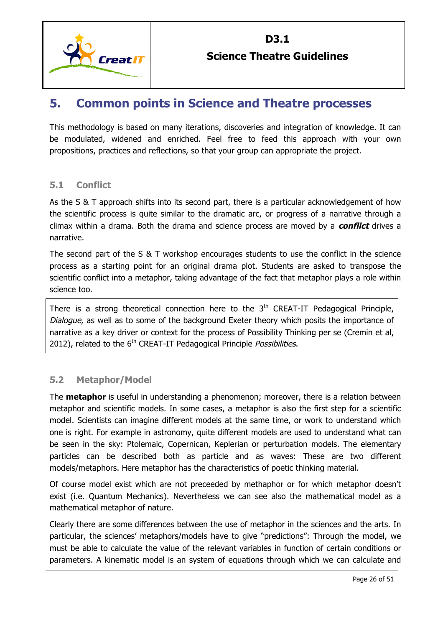

# **5. Common points in Science and Theatre processes**

This methodology is based on many iterations, discoveries and integration of knowledge. It can be modulated, widened and enriched. Feel free to feed this approach with your own propositions, practices and reflections, so that your group can appropriate the project.

### **5.1 Conflict**

As the S & T approach shifts into its second part, there is a particular acknowledgement of how the scientific process is quite similar to the dramatic arc, or progress of a narrative through a climax within a drama. Both the drama and science process are moved by a **conflict** drives a narrative.

The second part of the S & T workshop encourages students to use the conflict in the science process as a starting point for an original drama plot. Students are asked to transpose the scientific conflict into a metaphor, taking advantage of the fact that metaphor plays a role within science too.

There is a strong theoretical connection here to the  $3<sup>th</sup>$  CREAT-IT Pedagogical Principle. Dialogue, as well as to some of the background Exeter theory which posits the importance of narrative as a key driver or context for the process of Possibility Thinking per se (Cremin et al, 2012), related to the  $6<sup>th</sup>$  CREAT-IT Pedagogical Principle Possibilities.

### **5.2 Metaphor/Model**

The **metaphor** is useful in understanding a phenomenon; moreover, there is a relation between metaphor and scientific models. In some cases, a metaphor is also the first step for a scientific model. Scientists can imagine different models at the same time, or work to understand which one is right. For example in astronomy, quite different models are used to understand what can be seen in the sky: Ptolemaic, Copernican, Keplerian or perturbation models. The elementary particles can be described both as particle and as waves: These are two different models/metaphors. Here metaphor has the characteristics of poetic thinking material.

Of course model exist which are not preceeded by methaphor or for which metaphor doesn't exist (i.e. Quantum Mechanics). Nevertheless we can see also the mathematical model as a mathematical metaphor of nature.

Clearly there are some differences between the use of metaphor in the sciences and the arts. In particular, the sciences' metaphors/models have to give "predictions": Through the model, we must be able to calculate the value of the relevant variables in function of certain conditions or parameters. A kinematic model is an system of equations through which we can calculate and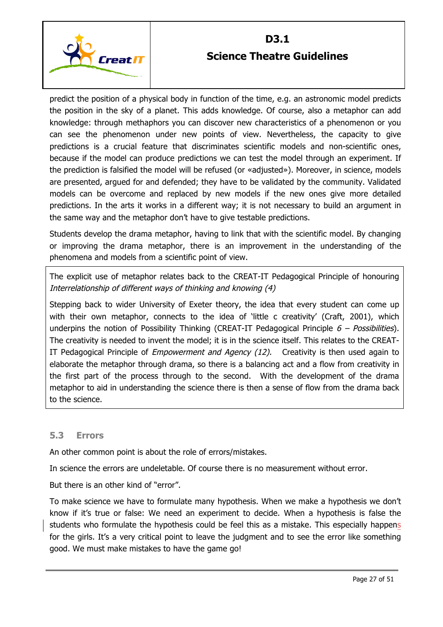

predict the position of a physical body in function of the time, e.g. an astronomic model predicts the position in the sky of a planet. This adds knowledge. Of course, also a metaphor can add knowledge: through methaphors you can discover new characteristics of a phenomenon or you can see the phenomenon under new points of view. Nevertheless, the capacity to give predictions is a crucial feature that discriminates scientific models and non-scientific ones, because if the model can produce predictions we can test the model through an experiment. If the prediction is falsified the model will be refused (or «adjusted»). Moreover, in science, models are presented, argued for and defended; they have to be validated by the community. Validated models can be overcome and replaced by new models if the new ones give more detailed predictions. In the arts it works in a different way; it is not necessary to build an argument in the same way and the metaphor don't have to give testable predictions.

Students develop the drama metaphor, having to link that with the scientific model. By changing or improving the drama metaphor, there is an improvement in the understanding of the phenomena and models from a scientific point of view.

The explicit use of metaphor relates back to the CREAT-IT Pedagogical Principle of honouring Interrelationship of different ways of thinking and knowing (4)

Stepping back to wider University of Exeter theory, the idea that every student can come up with their own metaphor, connects to the idea of 'little c creativity' (Craft, 2001), which underpins the notion of Possibility Thinking (CREAT-IT Pedagogical Principle  $6$  – Possibilities). The creativity is needed to invent the model; it is in the science itself. This relates to the CREAT-IT Pedagogical Principle of *Empowerment and Agency*  $(12)$ *.* Creativity is then used again to elaborate the metaphor through drama, so there is a balancing act and a flow from creativity in the first part of the process through to the second. With the development of the drama metaphor to aid in understanding the science there is then a sense of flow from the drama back to the science.

### **5.3 Errors**

An other common point is about the role of errors/mistakes.

In science the errors are undeletable. Of course there is no measurement without error.

But there is an other kind of "error".

To make science we have to formulate many hypothesis. When we make a hypothesis we don't know if it's true or false: We need an experiment to decide. When a hypothesis is false the students who formulate the hypothesis could be feel this as a mistake. This especially happens for the girls. It's a very critical point to leave the judgment and to see the error like something good. We must make mistakes to have the game go!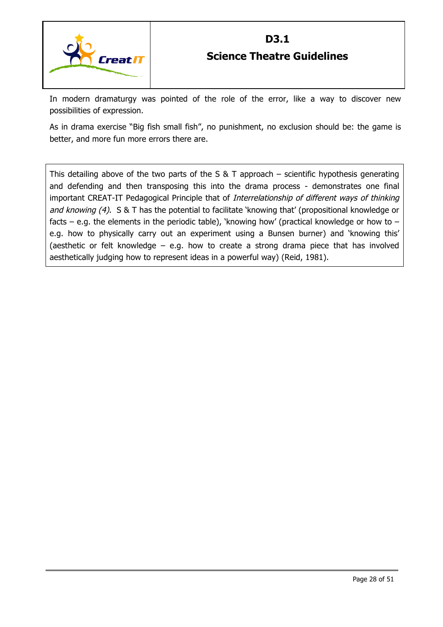

## **Science Theatre Guidelines**

In modern dramaturgy was pointed of the role of the error, like a way to discover new possibilities of expression.

As in drama exercise "Big fish small fish", no punishment, no exclusion should be: the game is better, and more fun more errors there are.

This detailing above of the two parts of the S & T approach – scientific hypothesis generating and defending and then transposing this into the drama process - demonstrates one final important CREAT-IT Pedagogical Principle that of Interrelationship of different ways of thinking and knowing (4). S & T has the potential to facilitate 'knowing that' (propositional knowledge or facts – e.g. the elements in the periodic table), 'knowing how' (practical knowledge or how to – e.g. how to physically carry out an experiment using a Bunsen burner) and 'knowing this' (aesthetic or felt knowledge – e.g. how to create a strong drama piece that has involved aesthetically judging how to represent ideas in a powerful way) (Reid, 1981).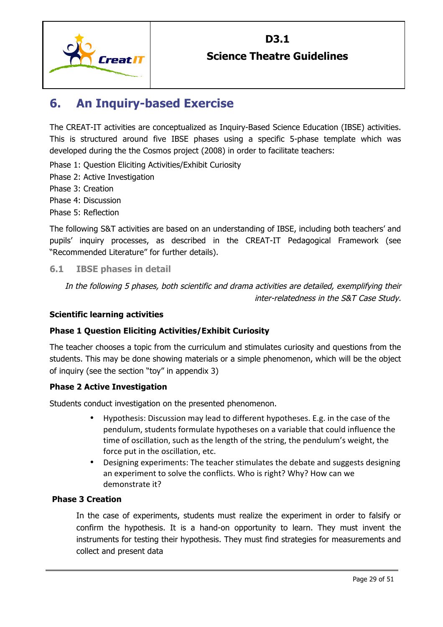

### **Science Theatre Guidelines**

# **6. An Inquiry-based Exercise**

The CREAT-IT activities are conceptualized as Inquiry-Based Science Education (IBSE) activities. This is structured around five IBSE phases using a specific 5-phase template which was developed during the the Cosmos project (2008) in order to facilitate teachers:

Phase 1: Question Eliciting Activities/Exhibit Curiosity

- Phase 2: Active Investigation
- Phase 3: Creation
- Phase 4: Discussion
- Phase 5: Reflection

The following S&T activities are based on an understanding of IBSE, including both teachers' and pupils' inquiry processes, as described in the CREAT-IT Pedagogical Framework (see "Recommended Literature" for further details).

### **6.1 IBSE phases in detail**

In the following 5 phases, both scientific and drama activities are detailed, exemplifying their inter-relatedness in the S&T Case Study.

#### **Scientific learning activities**

### **Phase 1 Question Eliciting Activities/Exhibit Curiosity**

The teacher chooses a topic from the curriculum and stimulates curiosity and questions from the students. This may be done showing materials or a simple phenomenon, which will be the object of inquiry (see the section "toy" in appendix 3)

### **Phase 2 Active Investigation**

Students conduct investigation on the presented phenomenon.

- Hypothesis: Discussion may lead to different hypotheses. E.g. in the case of the pendulum, students formulate hypotheses on a variable that could influence the time of oscillation, such as the length of the string, the pendulum's weight, the force put in the oscillation, etc.
- Designing experiments: The teacher stimulates the debate and suggests designing an experiment to solve the conflicts. Who is right? Why? How can we demonstrate it?

### **Phase 3 Creation**

In the case of experiments, students must realize the experiment in order to falsify or confirm the hypothesis. It is a hand-on opportunity to learn. They must invent the instruments for testing their hypothesis. They must find strategies for measurements and collect and present data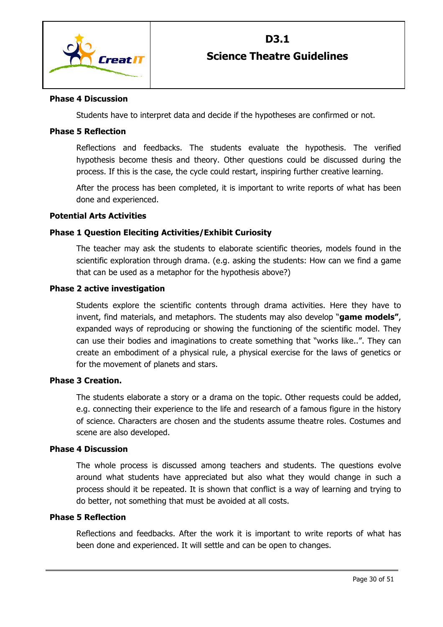

## **Science Theatre Guidelines**

#### **Phase 4 Discussion**

Students have to interpret data and decide if the hypotheses are confirmed or not.

#### **Phase 5 Reflection**

Reflections and feedbacks. The students evaluate the hypothesis. The verified hypothesis become thesis and theory. Other questions could be discussed during the process. If this is the case, the cycle could restart, inspiring further creative learning.

After the process has been completed, it is important to write reports of what has been done and experienced.

#### **Potential Arts Activities**

#### **Phase 1 Question Eleciting Activities/Exhibit Curiosity**

The teacher may ask the students to elaborate scientific theories, models found in the scientific exploration through drama. (e.g. asking the students: How can we find a game that can be used as a metaphor for the hypothesis above?)

#### **Phase 2 active investigation**

Students explore the scientific contents through drama activities. Here they have to invent, find materials, and metaphors. The students may also develop "**game models"**, expanded ways of reproducing or showing the functioning of the scientific model. They can use their bodies and imaginations to create something that "works like..". They can create an embodiment of a physical rule, a physical exercise for the laws of genetics or for the movement of planets and stars.

#### **Phase 3 Creation.**

The students elaborate a story or a drama on the topic. Other requests could be added, e.g. connecting their experience to the life and research of a famous figure in the history of science. Characters are chosen and the students assume theatre roles. Costumes and scene are also developed.

#### **Phase 4 Discussion**

The whole process is discussed among teachers and students. The questions evolve around what students have appreciated but also what they would change in such a process should it be repeated. It is shown that conflict is a way of learning and trying to do better, not something that must be avoided at all costs.

#### **Phase 5 Reflection**

Reflections and feedbacks. After the work it is important to write reports of what has been done and experienced. It will settle and can be open to changes.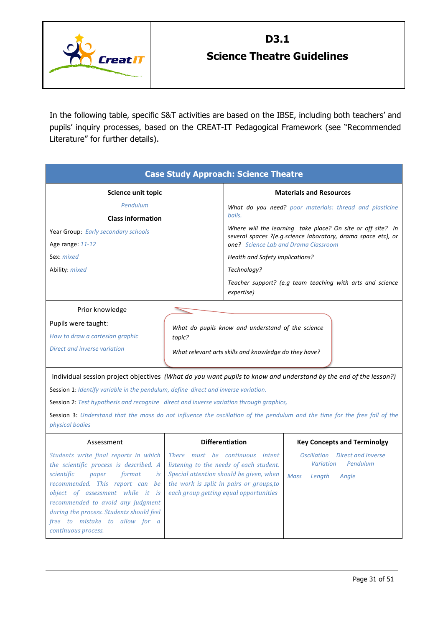

# **Science Theatre Guidelines**

In the following table, specific S&T activities are based on the IBSE, including both teachers' and pupils' inquiry processes, based on the CREAT-IT Pedagogical Framework (see "Recommended Literature" for further details).

| <b>Case Study Approach: Science Theatre</b>                                                                                                                                                                                                          |                                                   |                                                                                                       |                                                             |  |
|------------------------------------------------------------------------------------------------------------------------------------------------------------------------------------------------------------------------------------------------------|---------------------------------------------------|-------------------------------------------------------------------------------------------------------|-------------------------------------------------------------|--|
| Science unit topic                                                                                                                                                                                                                                   |                                                   | <b>Materials and Resources</b>                                                                        |                                                             |  |
| Pendulum                                                                                                                                                                                                                                             |                                                   | What do you need? poor materials: thread and plasticine<br>balls.                                     |                                                             |  |
|                                                                                                                                                                                                                                                      | <b>Class information</b>                          |                                                                                                       | Where will the learning take place? On site or off site? In |  |
| Year Group: Early secondary schools<br>Age range: 11-12                                                                                                                                                                                              |                                                   | several spaces ?(e.g.science laboratory, drama space etc), or<br>one? Science Lab and Drama Classroom |                                                             |  |
| Sex: mixed                                                                                                                                                                                                                                           |                                                   | Health and Safety implications?                                                                       |                                                             |  |
| Ability: mixed                                                                                                                                                                                                                                       |                                                   | Technology?                                                                                           |                                                             |  |
|                                                                                                                                                                                                                                                      |                                                   | Teacher support? (e.g team teaching with arts and science<br>expertise)                               |                                                             |  |
| Prior knowledge                                                                                                                                                                                                                                      |                                                   |                                                                                                       |                                                             |  |
| Pupils were taught:                                                                                                                                                                                                                                  | What do pupils know and understand of the science |                                                                                                       |                                                             |  |
| How to draw a cartesian graphic                                                                                                                                                                                                                      | topic?                                            |                                                                                                       |                                                             |  |
| Direct and inverse variation                                                                                                                                                                                                                         |                                                   | What relevant arts skills and knowledge do they have?                                                 |                                                             |  |
| Individual session project objectives (What do you want pupils to know and understand by the end of the lesson?)                                                                                                                                     |                                                   |                                                                                                       |                                                             |  |
| Session 1: Identify variable in the pendulum, define direct and inverse variation.                                                                                                                                                                   |                                                   |                                                                                                       |                                                             |  |
| <b>Session 2:</b> Test hypothesis and recognize direct and inverse variation through graphics,                                                                                                                                                       |                                                   |                                                                                                       |                                                             |  |
| Session 3: Understand that the mass do not influence the oscillation of the pendulum and the time for the free fall of the<br>physical bodies                                                                                                        |                                                   |                                                                                                       |                                                             |  |
| Assessment                                                                                                                                                                                                                                           |                                                   | <b>Differentiation</b>                                                                                | <b>Key Concepts and Terminolgy</b>                          |  |
| Students write final reports in which<br>the scientific process is described. A                                                                                                                                                                      |                                                   | There must be continuous intent<br>listening to the needs of each student.                            | Oscillation Direct and Inverse<br>Variation<br>Pendulum     |  |
| scientific<br>format<br>is<br>paper<br>recommended. This report can be<br>object of assessment while it is<br>recommended to avoid any judgment<br>during the process. Students should feel<br>free to mistake to allow for a<br>continuous process. | each group getting equal opportunities            | Special attention should be given, when<br>the work is split in pairs or groups, to                   | Mass<br>Length<br>Angle                                     |  |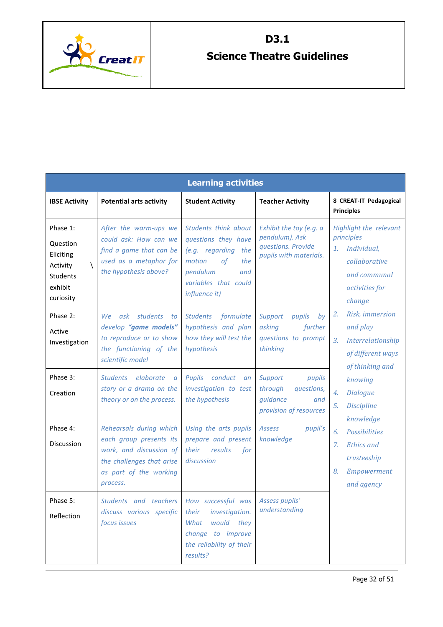

| <b>Learning activities</b>                                                                    |                                                                                                                                                  |                                                                                                                                                                     |                                                                                           |                                                                                                                        |  |
|-----------------------------------------------------------------------------------------------|--------------------------------------------------------------------------------------------------------------------------------------------------|---------------------------------------------------------------------------------------------------------------------------------------------------------------------|-------------------------------------------------------------------------------------------|------------------------------------------------------------------------------------------------------------------------|--|
| <b>IBSE Activity</b>                                                                          | <b>Potential arts activity</b>                                                                                                                   | <b>Student Activity</b>                                                                                                                                             | <b>Teacher Activity</b>                                                                   | 8 CREAT-IT Pedagogical<br><b>Principles</b>                                                                            |  |
| Phase 1:<br>Question<br>Eliciting<br>Activity<br>V<br><b>Students</b><br>exhibit<br>curiosity | After the warm-ups we<br>could ask: How can we<br>find a game that can be<br>used as a metaphor for<br>the hypothesis above?                     | Students think about<br>questions they have<br>(e.g. regarding<br>the<br>motion<br><sub>of</sub><br>the<br>pendulum<br>and<br>variables that could<br>influence it) | Exhibit the toy (e.g. a<br>pendulum). Ask<br>questions. Provide<br>pupils with materials. | Highlight the relevant<br>principles<br>1.<br>Individual,<br>collaborative<br>and communal<br>activities for<br>change |  |
| Phase 2:<br>Active<br>Investigation                                                           | ask students<br>$W_{\mathcal{P}}$<br>to<br>develop "game models"<br>to reproduce or to show<br>the functioning of the<br>scientific model        | formulate<br><b>Students</b><br>hypothesis and plan<br>how they will test the<br>hypothesis                                                                         | pupils<br>Support<br>bv<br>asking<br>further<br>questions to prompt<br>thinking           | Risk, immersion<br>2.<br>and play<br>3.<br>Interrelationship<br>of different ways                                      |  |
| Phase 3:<br>Creation                                                                          | elaborate<br><b>Students</b><br>$\alpha$<br>story or a drama on the<br>theory or on the process.                                                 | Pupils conduct<br>Support<br>pupils<br>an<br>investigation to test<br>through<br>questions,<br>the hypothesis<br>guidance<br>and<br>provision of resources          | of thinking and<br>knowing<br>4.<br>Dialogue<br>5.<br><b>Discipline</b>                   |                                                                                                                        |  |
| Phase 4:<br><b>Discussion</b>                                                                 | Rehearsals during which<br>each group presents its<br>work, and discussion of<br>the challenges that arise<br>as part of the working<br>process. | Using the arts pupils<br>prepare and present<br>their<br>results<br>for<br>discussion                                                                               | pupil's<br><b>Assess</b><br>knowledge                                                     | knowledge<br><b>Possibilities</b><br>6.<br>$Z_{\rm c}$<br>Ethics and<br>trusteeship<br>8.<br>Empowerment<br>and agency |  |
| Phase 5:<br>Reflection                                                                        | Students and teachers<br>discuss various specific<br>focus issues                                                                                | How successful was<br>investigation.<br>their<br>would they<br>What<br>change to improve<br>the reliability of their<br>results?                                    | Assess pupils'<br>understanding                                                           |                                                                                                                        |  |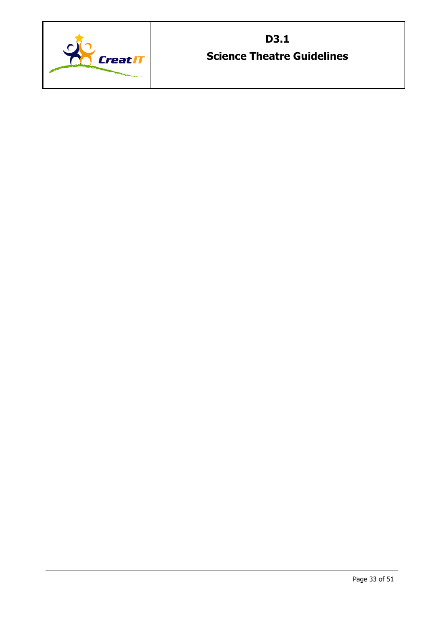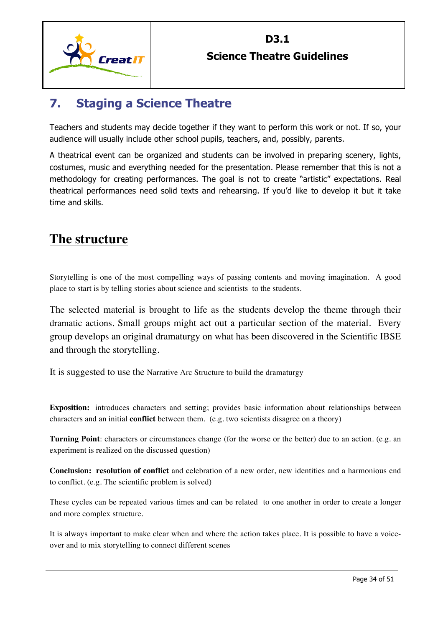

### **Science Theatre Guidelines**

# **7. Staging a Science Theatre**

Teachers and students may decide together if they want to perform this work or not. If so, your audience will usually include other school pupils, teachers, and, possibly, parents.

A theatrical event can be organized and students can be involved in preparing scenery, lights, costumes, music and everything needed for the presentation. Please remember that this is not a methodology for creating performances. The goal is not to create "artistic" expectations. Real theatrical performances need solid texts and rehearsing. If you'd like to develop it but it take time and skills.

# **The structure**

Storytelling is one of the most compelling ways of passing contents and moving imagination. A good place to start is by telling stories about science and scientists to the students.

The selected material is brought to life as the students develop the theme through their dramatic actions. Small groups might act out a particular section of the material. Every group develops an original dramaturgy on what has been discovered in the Scientific IBSE and through the storytelling.

It is suggested to use the Narrative Arc Structure to build the dramaturgy

**Exposition:** introduces characters and setting; provides basic information about relationships between characters and an initial **conflict** between them. (e.g. two scientists disagree on a theory)

**Turning Point**: characters or circumstances change (for the worse or the better) due to an action. (e.g. an experiment is realized on the discussed question)

**Conclusion: resolution of conflict** and celebration of a new order, new identities and a harmonious end to conflict. (e.g. The scientific problem is solved)

These cycles can be repeated various times and can be related to one another in order to create a longer and more complex structure.

It is always important to make clear when and where the action takes place. It is possible to have a voiceover and to mix storytelling to connect different scenes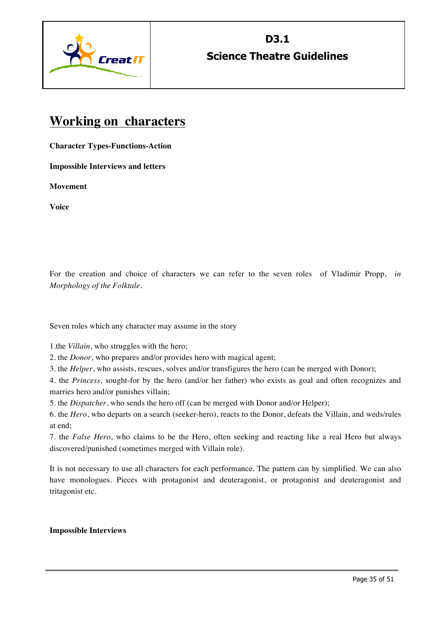

# **Working on characters**

**Character Types-Functions-Action**

**Impossible Interviews and letters**

**Movement**

**Voice**

For the creation and choice of characters we can refer to the seven roles of Vladimir Propp, *in Morphology of the Folktale*.

Seven roles which any character may assume in the story

1.the *Villain*, who struggles with the hero;

2. the *Donor*, who prepares and/or provides hero with magical agent;

3. the *Helper*, who assists, rescues, solves and/or transfigures the hero (can be merged with Donor);

4. the *Princess*, sought-for by the hero (and/or her father) who exists as goal and often recognizes and marries hero and/or punishes villain;

5. the *Dispatcher*, who sends the hero off (can be merged with Donor and/or Helper);

6. the *Hero*, who departs on a search (seeker-hero), reacts to the Donor, defeats the Villain, and weds/rules at end;

7. the *False Hero*, who claims to be the Hero, often seeking and reacting like a real Hero but always discovered/punished (sometimes merged with Villain role).

It is not necessary to use all characters for each performance. The pattern can by simplified. We can also have monologues. Pieces with protagonist and deuteragonist, or protagonist and deuteragonist and tritagonist etc.

#### **Impossible Interviews**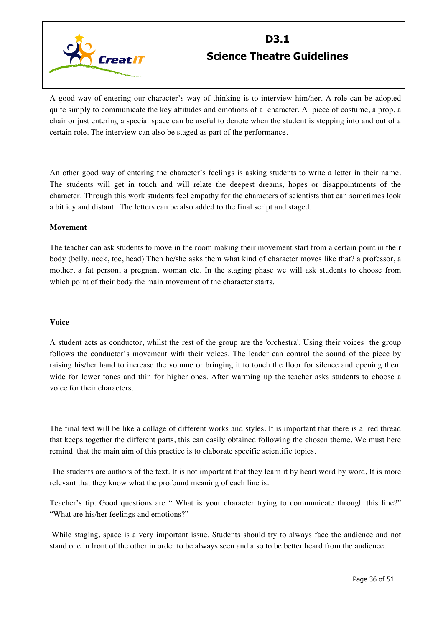

A good way of entering our character's way of thinking is to interview him/her. A role can be adopted quite simply to communicate the key attitudes and emotions of a character. A piece of costume, a prop, a chair or just entering a special space can be useful to denote when the student is stepping into and out of a certain role. The interview can also be staged as part of the performance.

An other good way of entering the character's feelings is asking students to write a letter in their name. The students will get in touch and will relate the deepest dreams, hopes or disappointments of the character. Through this work students feel empathy for the characters of scientists that can sometimes look a bit icy and distant. The letters can be also added to the final script and staged.

#### **Movement**

The teacher can ask students to move in the room making their movement start from a certain point in their body (belly, neck, toe, head) Then he/she asks them what kind of character moves like that? a professor, a mother, a fat person, a pregnant woman etc. In the staging phase we will ask students to choose from which point of their body the main movement of the character starts.

#### **Voice**

A student acts as conductor, whilst the rest of the group are the 'orchestra'. Using their voices the group follows the conductor's movement with their voices. The leader can control the sound of the piece by raising his/her hand to increase the volume or bringing it to touch the floor for silence and opening them wide for lower tones and thin for higher ones. After warming up the teacher asks students to choose a voice for their characters.

The final text will be like a collage of different works and styles. It is important that there is a red thread that keeps together the different parts, this can easily obtained following the chosen theme. We must here remind that the main aim of this practice is to elaborate specific scientific topics.

The students are authors of the text. It is not important that they learn it by heart word by word, It is more relevant that they know what the profound meaning of each line is.

Teacher's tip. Good questions are " What is your character trying to communicate through this line?" "What are his/her feelings and emotions?"

While staging, space is a very important issue. Students should try to always face the audience and not stand one in front of the other in order to be always seen and also to be better heard from the audience.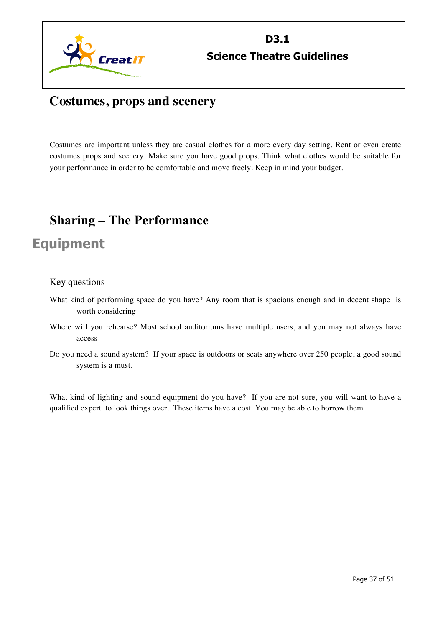

# **Costumes, props and scenery**

Costumes are important unless they are casual clothes for a more every day setting. Rent or even create costumes props and scenery. Make sure you have good props. Think what clothes would be suitable for your performance in order to be comfortable and move freely. Keep in mind your budget.

# **Sharing – The Performance**

# **Equipment**

### Key questions

- What kind of performing space do you have? Any room that is spacious enough and in decent shape is worth considering
- Where will you rehearse? Most school auditoriums have multiple users, and you may not always have access
- Do you need a sound system? If your space is outdoors or seats anywhere over 250 people, a good sound system is a must.

What kind of lighting and sound equipment do you have? If you are not sure, you will want to have a qualified expert to look things over. These items have a cost. You may be able to borrow them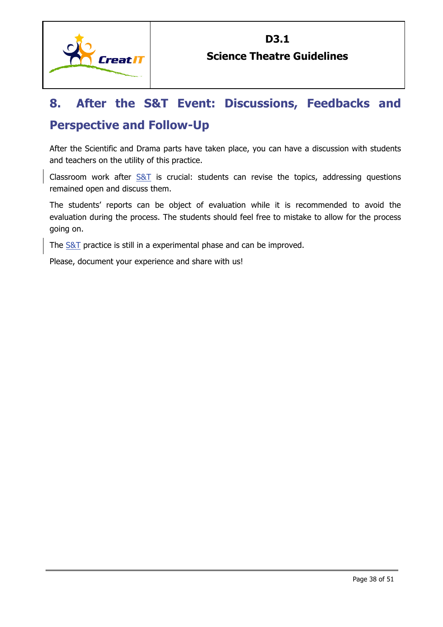

# **8. After the S&T Event: Discussions, Feedbacks and Perspective and Follow-Up**

After the Scientific and Drama parts have taken place, you can have a discussion with students and teachers on the utility of this practice.

Classroom work after S&T is crucial: students can revise the topics, addressing questions remained open and discuss them.

The students' reports can be object of evaluation while it is recommended to avoid the evaluation during the process. The students should feel free to mistake to allow for the process going on.

The S&T practice is still in a experimental phase and can be improved.

Please, document your experience and share with us!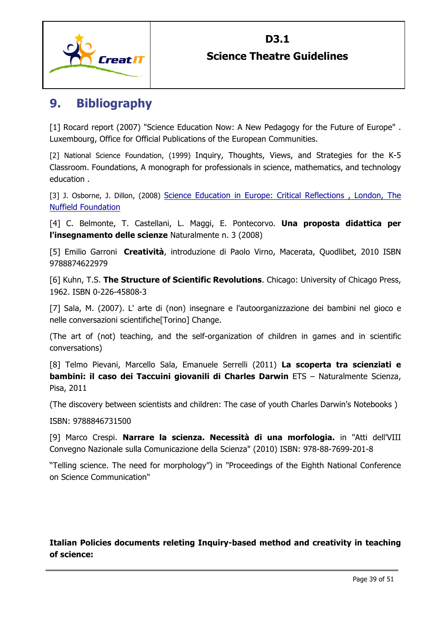

### **Science Theatre Guidelines**

# **9. Bibliography**

[1] Rocard report (2007) "Science Education Now: A New Pedagogy for the Future of Europe" . Luxembourg, Office for Official Publications of the European Communities.

[2] National Science Foundation, (1999) Inquiry, Thoughts, Views, and Strategies for the K-5 Classroom. Foundations, A monograph for professionals in science, mathematics, and technology education .

[3] J. Osborne, J. Dillon, (2008) Science Education in Europe: Critical Reflections, London, The Nuffield Foundation

[4] C. Belmonte, T. Castellani, L. Maggi, E. Pontecorvo. **Una proposta didattica per l'insegnamento delle scienze** Naturalmente n. 3 (2008)

[5] Emilio Garroni **Creatività**, introduzione di Paolo Virno, Macerata, Quodlibet, 2010 ISBN 9788874622979

[6] Kuhn, T.S. **The Structure of Scientific Revolutions**. Chicago: University of Chicago Press, 1962. ISBN 0-226-45808-3

[7] Sala, M. (2007). L' arte di (non) insegnare e l'autoorganizzazione dei bambini nel gioco e nelle conversazioni scientifiche[Torino] Change.

(The art of (not) teaching, and the self-organization of children in games and in scientific conversations)

[8] Telmo Pievani, Marcello Sala, Emanuele Serrelli (2011) **La scoperta tra scienziati e bambini: il caso dei Taccuini giovanili di Charles Darwin** ETS – Naturalmente Scienza, Pisa, 2011

(The discovery between scientists and children: The case of youth Charles Darwin's Notebooks )

ISBN: 9788846731500

[9] Marco Crespi. **Narrare la scienza. Necessità di una morfologia.** in "Atti dell'VIII Convegno Nazionale sulla Comunicazione della Scienza" (2010) ISBN: 978-88-7699-201-8

"Telling science. The need for morphology") in "Proceedings of the Eighth National Conference on Science Communication"

### **Italian Policies documents releting Inquiry-based method and creativity in teaching of science:**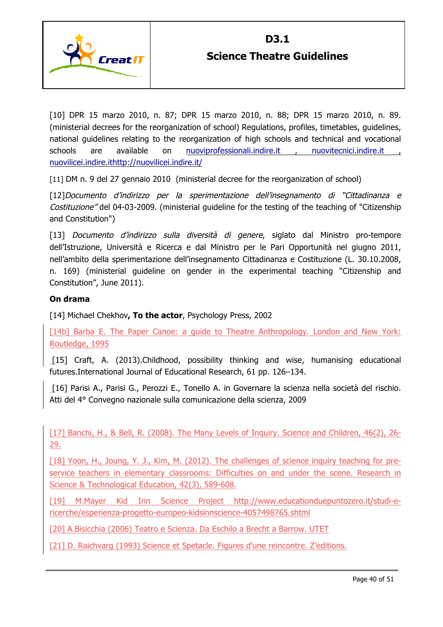

### **Science Theatre Guidelines**

[10] DPR 15 marzo 2010, n. 87; DPR 15 marzo 2010, n. 88; DPR 15 marzo 2010, n. 89. (ministerial decrees for the reorganization of school) Regulations, profiles, timetables, guidelines, national guidelines relating to the reorganization of high schools and technical and vocational schools are available on nuoviprofessionali.indire.it , nuovitecnici.indire.it nuovilicei.indire.ithttp://nuovilicei.indire.it/

[11] DM n. 9 del 27 gennaio 2010 (ministerial decree for the reorganization of school)

[12]Documento d'indirizzo per la sperimentazione dell'insegnamento di "Cittadinanza e Costituzione" del 04-03-2009. (ministerial guideline for the testing of the teaching of "Citizenship and Constitution")

[13] Documento d'indirizzo sulla diversità di genere, siglato dal Ministro pro-tempore dell'Istruzione, Università e Ricerca e dal Ministro per le Pari Opportunità nel giugno 2011, nell'ambito della sperimentazione dell'insegnamento Cittadinanza e Costituzione (L. 30.10.2008, n. 169) (ministerial guideline on gender in the experimental teaching "Citizenship and Constitution", June 2011).

### **On drama**

[14] Michael Chekhov**, To the actor**, Psychology Press, 2002

[14b] Barba E. The Paper Canoe: a guide to Theatre Anthropology. London and New York: Routledge, 1995

[15] Craft, A. (2013).Childhood, possibility thinking and wise, humanising educational futures.International Journal of Educational Research, 61 pp. 126–134.

[16] Parisi A., Parisi G., Perozzi E., Tonello A. in Governare la scienza nella società del rischio. Atti del 4° Convegno nazionale sulla comunicazione della scienza, 2009

[17] Banchi, H., & Bell, R. (2008). The Many Levels of Inquiry. Science and Children, 46(2), 26- 29.

[18] Yoon, H., Joung, Y. J., Kim, M. (2012). The challenges of science inquiry teaching for preservice teachers in elementary classrooms: Difficulties on and under the scene. Research in Science & Technological Education, 42(3), 589-608.

[19] M.Mayer Kid Inn Science Project http://www.educationduepuntozero.it/studi-ericerche/esperienza-progetto-europeo-kidsinnscience-4057498765.shtml

[20] A.Bisicchia (2006) Teatro e Scienza. Da Eschilo a Brecht a Barrow. UTET

[21] D. Raichvarg (1993) Science et Spetacle. Figures d'une reincontre. Z'editions.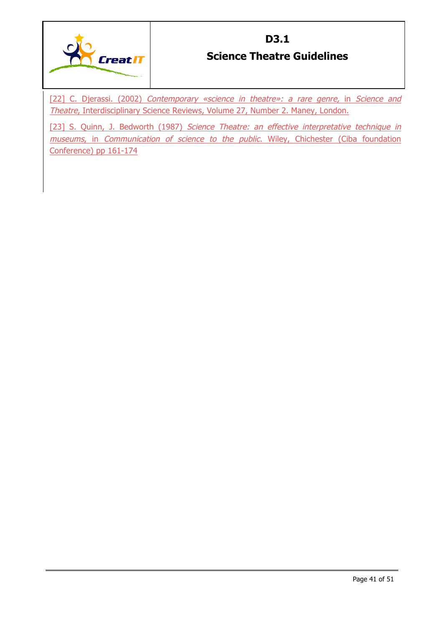

## **Science Theatre Guidelines**

[22] C. Djerassi. (2002) Contemporary «science in theatre»: a rare genre, in Science and Theatre, Interdisciplinary Science Reviews, Volume 27, Number 2. Maney, London.

[23] S. Quinn, J. Bedworth (1987) Science Theatre: an effective interpretative technique in museums, in Communication of science to the public. Wiley, Chichester (Ciba foundation Conference) pp 161-174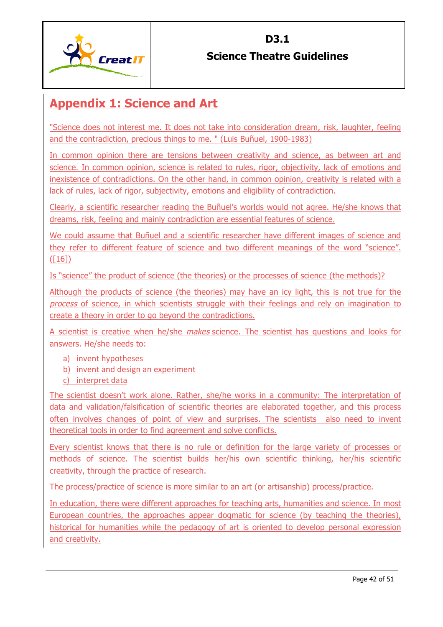

## **Science Theatre Guidelines**

# **Appendix 1: Science and Art**

"Science does not interest me. It does not take into consideration dream, risk, laughter, feeling and the contradiction, precious things to me. " (Luis Buñuel, 1900-1983)

In common opinion there are tensions between creativity and science, as between art and science. In common opinion, science is related to rules, rigor, objectivity, lack of emotions and inexistence of contradictions. On the other hand, in common opinion, creativity is related with a lack of rules, lack of rigor, subjectivity, emotions and eligibility of contradiction.

Clearly, a scientific researcher reading the Buñuel's worlds would not agree. He/she knows that dreams, risk, feeling and mainly contradiction are essential features of science.

We could assume that Buñuel and a scientific researcher have different images of science and they refer to different feature of science and two different meanings of the word "science".  $(I16]$ 

Is "science" the product of science (the theories) or the processes of science (the methods)?

Although the products of science (the theories) may have an icy light, this is not true for the process of science, in which scientists struggle with their feelings and rely on imagination to create a theory in order to go beyond the contradictions.

A scientist is creative when he/she *makes* science. The scientist has questions and looks for answers. He/she needs to:

- a) invent hypotheses
- b) invent and design an experiment
- c) interpret data

The scientist doesn't work alone. Rather, she/he works in a community: The interpretation of data and validation/falsification of scientific theories are elaborated together, and this process often involves changes of point of view and surprises. The scientists also need to invent theoretical tools in order to find agreement and solve conflicts.

Every scientist knows that there is no rule or definition for the large variety of processes or methods of science. The scientist builds her/his own scientific thinking, her/his scientific creativity, through the practice of research.

The process/practice of science is more similar to an art (or artisanship) process/practice.

In education, there were different approaches for teaching arts, humanities and science. In most European countries, the approaches appear dogmatic for science (by teaching the theories), historical for humanities while the pedagogy of art is oriented to develop personal expression and creativity.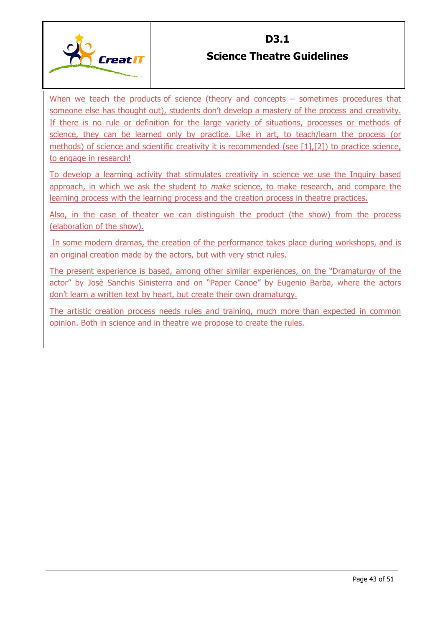

### **Science Theatre Guidelines**

When we teach the products of science (theory and concepts – sometimes procedures that someone else has thought out), students don't develop a mastery of the process and creativity. If there is no rule or definition for the large variety of situations, processes or methods of science, they can be learned only by practice. Like in art, to teach/learn the process (or methods) of science and scientific creativity it is recommended (see [1],[2]) to practice science, to engage in research!

To develop a learning activity that stimulates creativity in science we use the Inquiry based approach, in which we ask the student to *make* science, to make research, and compare the learning process with the learning process and the creation process in theatre practices.

Also, in the case of theater we can distinguish the product (the show) from the process (elaboration of the show).

In some modern dramas, the creation of the performance takes place during workshops, and is an original creation made by the actors, but with very strict rules.

The present experience is based, among other similar experiences, on the "Dramaturgy of the actor" by Josè Sanchis Sinisterra and on "Paper Canoe" by Eugenio Barba, where the actors don't learn a written text by heart, but create their own dramaturgy.

The artistic creation process needs rules and training, much more than expected in common opinion. Both in science and in theatre we propose to create the rules.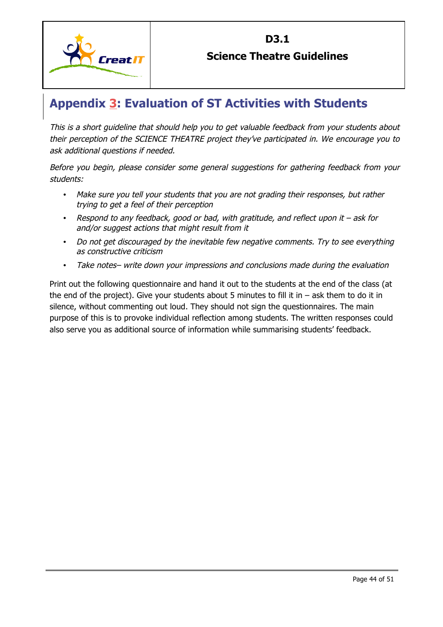

# **Appendix 3: Evaluation of ST Activities with Students**

This is a short guideline that should help you to get valuable feedback from your students about their perception of the SCIENCE THEATRE project they've participated in. We encourage you to ask additional questions if needed.

Before you begin, please consider some general suggestions for gathering feedback from your students:

- Make sure you tell your students that you are not grading their responses, but rather trying to get a feel of their perception
- Respond to any feedback, good or bad, with gratitude, and reflect upon it  $-$  ask for and/or suggest actions that might result from it
- Do not get discouraged by the inevitable few negative comments. Try to see everything as constructive criticism
- Take notes– write down your impressions and conclusions made during the evaluation

Print out the following questionnaire and hand it out to the students at the end of the class (at the end of the project). Give your students about 5 minutes to fill it in  $-$  ask them to do it in silence, without commenting out loud. They should not sign the questionnaires. The main purpose of this is to provoke individual reflection among students. The written responses could also serve you as additional source of information while summarising students' feedback.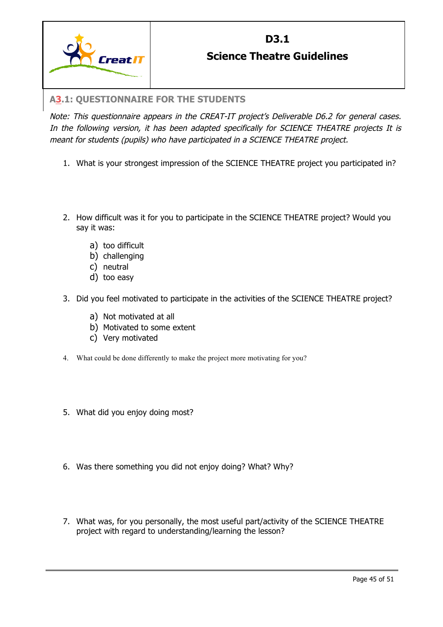

## **Science Theatre Guidelines**

### **A3.1: QUESTIONNAIRE FOR THE STUDENTS**

Note: This questionnaire appears in the CREAT-IT project's Deliverable D6.2 for general cases. In the following version, it has been adapted specifically for SCIENCE THEATRE projects It is meant for students (pupils) who have participated in a SCIENCE THEATRE project.

- 1. What is your strongest impression of the SCIENCE THEATRE project you participated in?
- 2. How difficult was it for you to participate in the SCIENCE THEATRE project? Would you say it was:
	- a) too difficult
	- b) challenging
	- c) neutral
	- d) too easy
- 3. Did you feel motivated to participate in the activities of the SCIENCE THEATRE project?
	- a) Not motivated at all
	- b) Motivated to some extent
	- c) Very motivated
- 4. What could be done differently to make the project more motivating for you?
- 5. What did you enjoy doing most?
- 6. Was there something you did not enjoy doing? What? Why?
- 7. What was, for you personally, the most useful part/activity of the SCIENCE THEATRE project with regard to understanding/learning the lesson?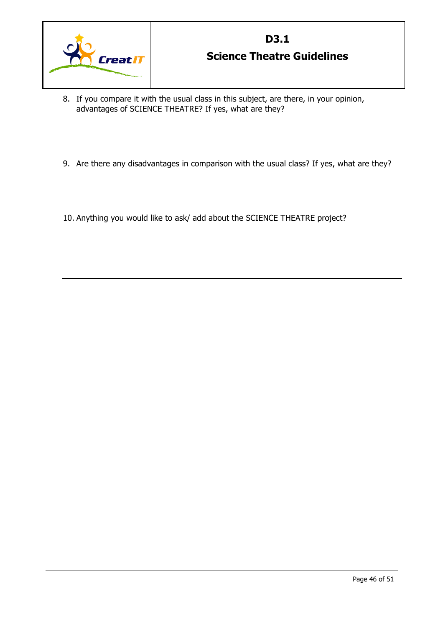

- 8. If you compare it with the usual class in this subject, are there, in your opinion, advantages of SCIENCE THEATRE? If yes, what are they?
- 9. Are there any disadvantages in comparison with the usual class? If yes, what are they?
- 10. Anything you would like to ask/ add about the SCIENCE THEATRE project?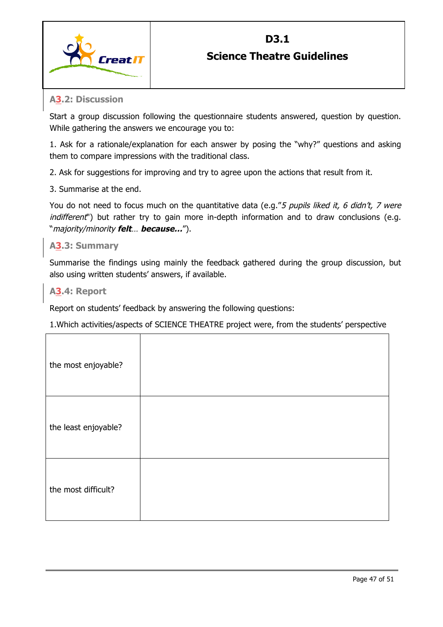

## **Science Theatre Guidelines**

### **A3.2: Discussion**

Start a group discussion following the questionnaire students answered, question by question. While gathering the answers we encourage you to:

1. Ask for a rationale/explanation for each answer by posing the "why?" questions and asking them to compare impressions with the traditional class.

2. Ask for suggestions for improving and try to agree upon the actions that result from it.

3. Summarise at the end.

You do not need to focus much on the quantitative data (e.g."5 pupils liked it, 6 didn't, 7 were indifferent") but rather try to gain more in-depth information and to draw conclusions (e.g. "majority/minority **felt**… **because…**").

### **A3.3: Summary**

Summarise the findings using mainly the feedback gathered during the group discussion, but also using written students' answers, if available.

### **A3.4: Report**

Report on students' feedback by answering the following questions:

1.Which activities/aspects of SCIENCE THEATRE project were, from the students' perspective

| the most enjoyable?  |  |
|----------------------|--|
| the least enjoyable? |  |
| the most difficult?  |  |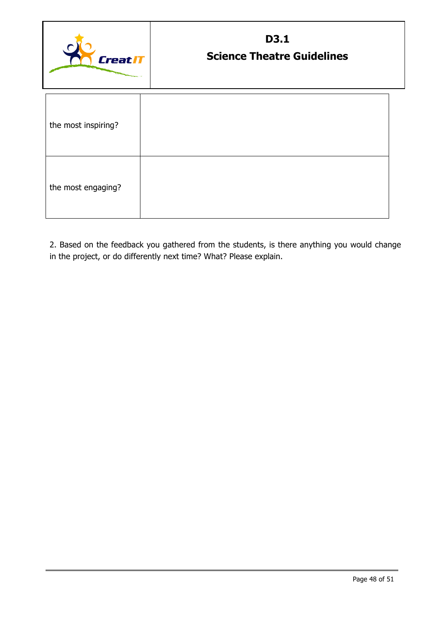| <b>Creat IT</b>     | D3.1<br><b>Science Theatre Guidelines</b> |  |
|---------------------|-------------------------------------------|--|
| the most inspiring? |                                           |  |
| the most engaging?  |                                           |  |

2. Based on the feedback you gathered from the students, is there anything you would change in the project, or do differently next time? What? Please explain.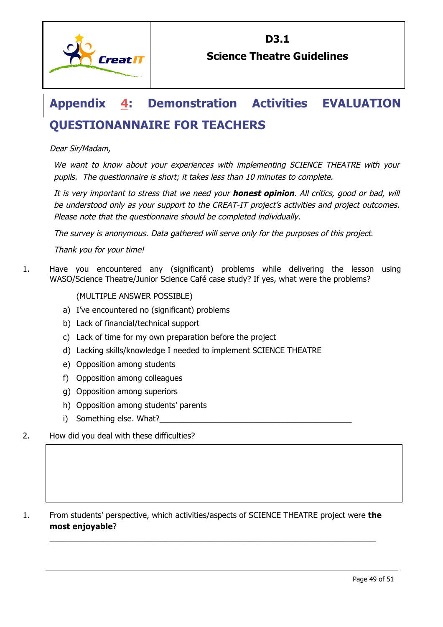

# **Appendix 4: Demonstration Activities EVALUATION QUESTIONANNAIRE FOR TEACHERS**

#### Dear Sir/Madam,

We want to know about your experiences with implementing SCIENCE THEATRE with your pupils. The questionnaire is short; it takes less than 10 minutes to complete.

It is very important to stress that we need your **honest opinion**. All critics, good or bad, will be understood only as your support to the CREAT-IT project's activities and project outcomes. Please note that the questionnaire should be completed individually.

The survey is anonymous. Data gathered will serve only for the purposes of this project.

### Thank you for your time!

1. Have you encountered any (significant) problems while delivering the lesson using WASO/Science Theatre/Junior Science Café case study? If yes, what were the problems?

#### (MULTIPLE ANSWER POSSIBLE)

- a) I've encountered no (significant) problems
- b) Lack of financial/technical support
- c) Lack of time for my own preparation before the project
- d) Lacking skills/knowledge I needed to implement SCIENCE THEATRE
- e) Opposition among students
- f) Opposition among colleagues
- g) Opposition among superiors
- h) Opposition among students' parents
- i) Something else. What?

#### 2. How did you deal with these difficulties?

1. From students' perspective, which activities/aspects of SCIENCE THEATRE project were **the most enjoyable**?

\_\_\_\_\_\_\_\_\_\_\_\_\_\_\_\_\_\_\_\_\_\_\_\_\_\_\_\_\_\_\_\_\_\_\_\_\_\_\_\_\_\_\_\_\_\_\_\_\_\_\_\_\_\_\_\_\_\_\_\_\_\_\_\_\_\_\_\_\_\_\_\_\_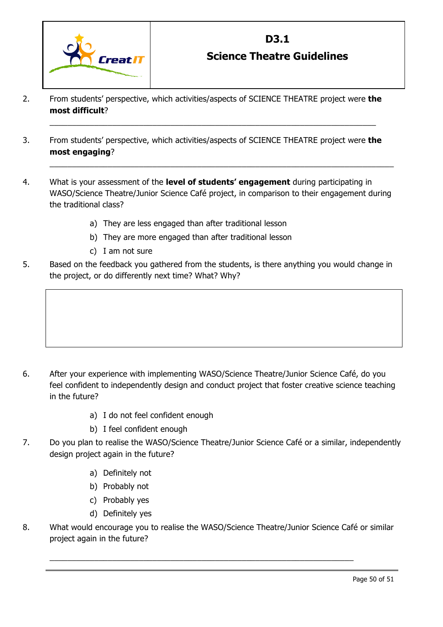

2. From students' perspective, which activities/aspects of SCIENCE THEATRE project were **the most difficult**?

\_\_\_\_\_\_\_\_\_\_\_\_\_\_\_\_\_\_\_\_\_\_\_\_\_\_\_\_\_\_\_\_\_\_\_\_\_\_\_\_\_\_\_\_\_\_\_\_\_\_\_\_\_\_\_\_\_\_\_\_\_\_\_\_\_\_\_\_\_\_\_\_\_

\_\_\_\_\_\_\_\_\_\_\_\_\_\_\_\_\_\_\_\_\_\_\_\_\_\_\_\_\_\_\_\_\_\_\_\_\_\_\_\_\_\_\_\_\_\_\_\_\_\_\_\_\_\_\_\_\_\_\_\_\_\_\_\_\_\_\_\_\_\_\_\_\_\_\_\_\_

- 3. From students' perspective, which activities/aspects of SCIENCE THEATRE project were **the most engaging**?
- 4. What is your assessment of the **level of students' engagement** during participating in WASO/Science Theatre/Junior Science Café project, in comparison to their engagement during the traditional class?
	- a) They are less engaged than after traditional lesson
	- b) They are more engaged than after traditional lesson
	- c) I am not sure
- 5. Based on the feedback you gathered from the students, is there anything you would change in the project, or do differently next time? What? Why?

- 6. After your experience with implementing WASO/Science Theatre/Junior Science Café, do you feel confident to independently design and conduct project that foster creative science teaching in the future?
	- a) I do not feel confident enough
	- b) I feel confident enough
- 7. Do you plan to realise the WASO/Science Theatre/Junior Science Café or a similar, independently design project again in the future?
	- a) Definitely not
	- b) Probably not
	- c) Probably yes
	- d) Definitely yes
- 8. What would encourage you to realise the WASO/Science Theatre/Junior Science Café or similar project again in the future?

\_\_\_\_\_\_\_\_\_\_\_\_\_\_\_\_\_\_\_\_\_\_\_\_\_\_\_\_\_\_\_\_\_\_\_\_\_\_\_\_\_\_\_\_\_\_\_\_\_\_\_\_\_\_\_\_\_\_\_\_\_\_\_\_\_\_\_\_